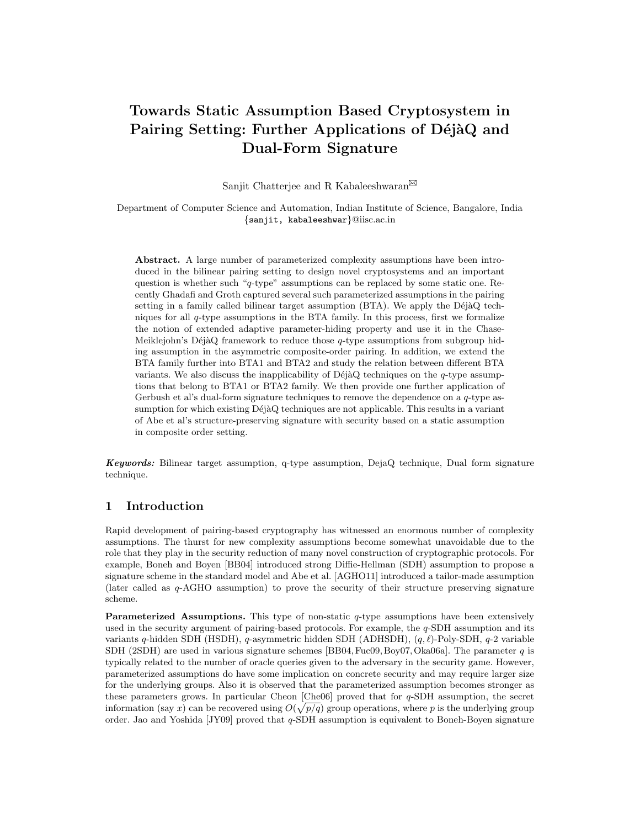# Towards Static Assumption Based Cryptosystem in Pairing Setting: Further Applications of DéjàQ and Dual-Form Signature

Sanjit Chatterjee and R Kabaleeshwaran $^{\boxtimes}$ 

Department of Computer Science and Automation, Indian Institute of Science, Bangalore, India {sanjit, kabaleeshwar}@iisc.ac.in

Abstract. A large number of parameterized complexity assumptions have been introduced in the bilinear pairing setting to design novel cryptosystems and an important question is whether such "q-type" assumptions can be replaced by some static one. Recently Ghadafi and Groth captured several such parameterized assumptions in the pairing setting in a family called bilinear target assumption  $(BTA)$ . We apply the DéjàQ techniques for all  $q$ -type assumptions in the BTA family. In this process, first we formalize the notion of extended adaptive parameter-hiding property and use it in the Chase-Meiklejohn's DéjàQ framework to reduce those  $q$ -type assumptions from subgroup hiding assumption in the asymmetric composite-order pairing. In addition, we extend the BTA family further into BTA1 and BTA2 and study the relation between different BTA variants. We also discuss the inapplicability of DéjàQ techniques on the  $q$ -type assumptions that belong to BTA1 or BTA2 family. We then provide one further application of Gerbush et al's dual-form signature techniques to remove the dependence on a  $q$ -type assumption for which existing DéjàQ techniques are not applicable. This results in a variant of Abe et al's structure-preserving signature with security based on a static assumption in composite order setting.

**Keywords:** Bilinear target assumption, q-type assumption,  $DejaQ$  technique, Dual form signature technique.

# 1 Introduction

Rapid development of pairing-based cryptography has witnessed an enormous number of complexity assumptions. The thurst for new complexity assumptions become somewhat unavoidable due to the role that they play in the security reduction of many novel construction of cryptographic protocols. For example, Boneh and Boyen [BB04] introduced strong Diffie-Hellman (SDH) assumption to propose a signature scheme in the standard model and Abe et al. [AGHO11] introduced a tailor-made assumption (later called as q-AGHO assumption) to prove the security of their structure preserving signature scheme.

**Parameterized Assumptions.** This type of non-static  $q$ -type assumptions have been extensively used in the security argument of pairing-based protocols. For example, the q-SDH assumption and its variants q-hidden SDH (HSDH), q-asymmetric hidden SDH (ADHSDH),  $(q, \ell)$ -Poly-SDH,  $q$ -2 variable SDH (2SDH) are used in various signature schemes [BB04, Fuc09, Boy07, Oka06a]. The parameter q is typically related to the number of oracle queries given to the adversary in the security game. However, parameterized assumptions do have some implication on concrete security and may require larger size for the underlying groups. Also it is observed that the parameterized assumption becomes stronger as these parameters grows. In particular Cheon [Che06] proved that for q-SDH assumption, the secret information (say x) can be recovered using  $O(\sqrt{p/q})$  group operations, where p is the underlying group order. Jao and Yoshida  $[JY09]$  proved that q-SDH assumption is equivalent to Boneh-Boyen signature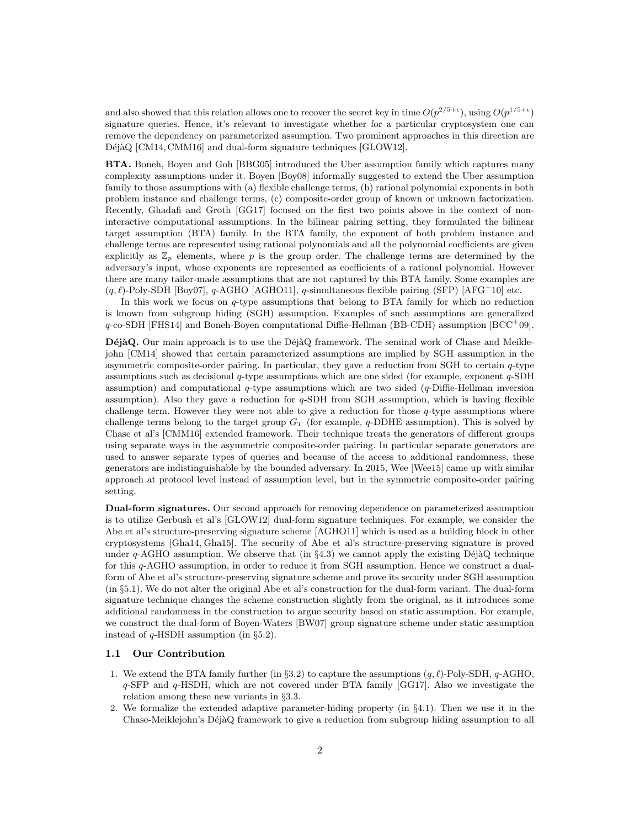and also showed that this relation allows one to recover the secret key in time  $O(p^{2/5+\epsilon})$ , using  $O(p^{1/5+\epsilon})$ signature queries. Hence, it's relevant to investigate whether for a particular cryptosystem one can remove the dependency on parameterized assumption. Two prominent approaches in this direction are  $D\acute{e}j\grave{a}Q$  [CM14, CMM16] and dual-form signature techniques [GLOW12].

BTA. Boneh, Boyen and Goh [BBG05] introduced the Uber assumption family which captures many complexity assumptions under it. Boyen [Boy08] informally suggested to extend the Uber assumption family to those assumptions with (a) flexible challenge terms, (b) rational polynomial exponents in both problem instance and challenge terms, (c) composite-order group of known or unknown factorization. Recently, Ghadafi and Groth [GG17] focused on the first two points above in the context of noninteractive computational assumptions. In the bilinear pairing setting, they formulated the bilinear target assumption (BTA) family. In the BTA family, the exponent of both problem instance and challenge terms are represented using rational polynomials and all the polynomial coefficients are given explicitly as  $\mathbb{Z}_p$  elements, where p is the group order. The challenge terms are determined by the adversary's input, whose exponents are represented as coefficients of a rational polynomial. However there are many tailor-made assumptions that are not captured by this BTA family. Some examples are  $(q, \ell)$ -Poly-SDH [Boy07], q-AGHO [AGHO11], q-simultaneous flexible pairing (SFP) [AFG<sup>+</sup>10] etc.

In this work we focus on q-type assumptions that belong to BTA family for which no reduction is known from subgroup hiding (SGH) assumption. Examples of such assumptions are generalized  $q$ -co-SDH [FHS14] and Boneh-Boyen computational Diffie-Hellman (BB-CDH) assumption [BCC<sup>+</sup>09].

DéjàQ. Our main approach is to use the DéjàQ framework. The seminal work of Chase and Meiklejohn [CM14] showed that certain parameterized assumptions are implied by SGH assumption in the asymmetric composite-order pairing. In particular, they gave a reduction from SGH to certain q-type assumptions such as decisional q-type assumptions which are one sided (for example, exponent q-SDH assumption) and computational  $q$ -type assumptions which are two sided  $(q$ -Diffie-Hellman inversion assumption). Also they gave a reduction for  $q$ -SDH from SGH assumption, which is having flexible challenge term. However they were not able to give a reduction for those  $q$ -type assumptions where challenge terms belong to the target group  $G_T$  (for example, q-DDHE assumption). This is solved by Chase et al's [CMM16] extended framework. Their technique treats the generators of different groups using separate ways in the asymmetric composite-order pairing. In particular separate generators are used to answer separate types of queries and because of the access to additional randomness, these generators are indistinguishable by the bounded adversary. In 2015, Wee [Wee15] came up with similar approach at protocol level instead of assumption level, but in the symmetric composite-order pairing setting.

Dual-form signatures. Our second approach for removing dependence on parameterized assumption is to utilize Gerbush et al's [GLOW12] dual-form signature techniques. For example, we consider the Abe et al's structure-preserving signature scheme [AGHO11] which is used as a building block in other cryptosystems [Gha14, Gha15]. The security of Abe et al's structure-preserving signature is proved under  $q$ -AGHO assumption. We observe that (in  $\S 4.3$ ) we cannot apply the existing DéjàQ technique for this q-AGHO assumption, in order to reduce it from SGH assumption. Hence we construct a dualform of Abe et al's structure-preserving signature scheme and prove its security under SGH assumption (in §5.1). We do not alter the original Abe et al's construction for the dual-form variant. The dual-form signature technique changes the scheme construction slightly from the original, as it introduces some additional randomness in the construction to argue security based on static assumption. For example, we construct the dual-form of Boyen-Waters [BW07] group signature scheme under static assumption instead of q-HSDH assumption (in §5.2).

### 1.1 Our Contribution

- 1. We extend the BTA family further (in §3.2) to capture the assumptions  $(q, \ell)$ -Poly-SDH, q-AGHO, q-SFP and q-HSDH, which are not covered under BTA family [GG17]. Also we investigate the relation among these new variants in §3.3.
- 2. We formalize the extended adaptive parameter-hiding property (in §4.1). Then we use it in the Chase-Meiklejohn's DéjàQ framework to give a reduction from subgroup hiding assumption to all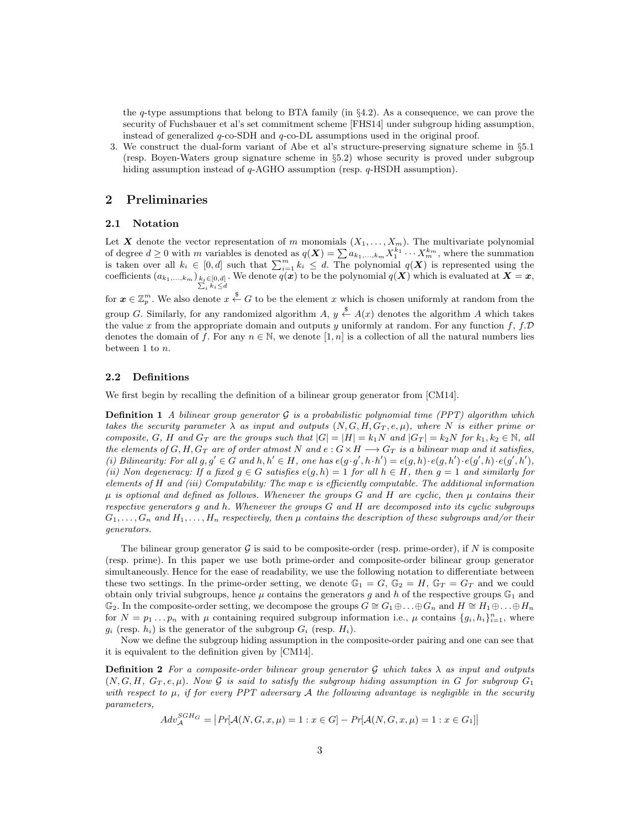the  $q$ -type assumptions that belong to BTA family (in  $\S 4.2$ ). As a consequence, we can prove the security of Fuchsbauer et al's set commitment scheme [FHS14] under subgroup hiding assumption, instead of generalized  $q$ -co-SDH and  $q$ -co-DL assumptions used in the original proof.

3. We construct the dual-form variant of Abe et al's structure-preserving signature scheme in §5.1 (resp. Boyen-Waters group signature scheme in §5.2) whose security is proved under subgroup hiding assumption instead of q-AGHO assumption (resp. q-HSDH assumption).

### 2 Preliminaries

#### 2.1 Notation

Let X denote the vector representation of m monomials  $(X_1, \ldots, X_m)$ . The multivariate polynomial of degree  $d \geq 0$  with m variables is denoted as  $q(\boldsymbol{X}) = \sum a_{k_1,\dots,k_m} X_1^{k_1} \cdots X_m^{k_m}$ , where the summation is taken over all  $k_i \in [0, d]$  such that  $\sum_{i=1}^m k_i \leq d$ . The polynomial  $q(X)$  is represented using the coefficients  $(a_{k_1,...,k_m})_{\substack{k_i \in [0,d]\\ \sum_i k_i \leq d}}$ . We denote  $q(x)$  to be the polynomial  $q(X)$  which is evaluated at  $X = x$ ,

for  $\boldsymbol{x} \in \mathbb{Z}_p^m$ . We also denote  $x \overset{\$}{\leftarrow} G$  to be the element x which is chosen uniformly at random from the group G. Similarly, for any randomized algorithm  $A, y \stackrel{\$}{\leftarrow} A(x)$  denotes the algorithm A which takes the value x from the appropriate domain and outputs y uniformly at random. For any function f, f.  $\mathcal{D}$ denotes the domain of f. For any  $n \in \mathbb{N}$ , we denote  $[1, n]$  is a collection of all the natural numbers lies between 1 to n.

### 2.2 Definitions

We first begin by recalling the definition of a bilinear group generator from [CM14].

**Definition 1** A bilinear group generator  $G$  is a probabilistic polynomial time (PPT) algorithm which takes the security parameter  $\lambda$  as input and outputs  $(N, G, H, G_T, e, \mu)$ , where N is either prime or composite, G, H and  $G_T$  are the groups such that  $|G| = |H| = k_1N$  and  $|G_T| = k_2N$  for  $k_1, k_2 \in \mathbb{N}$ , all the elements of  $G, H, G_T$  are of order atmost N and  $e : G \times H \longrightarrow G_T$  is a bilinear map and it satisfies, (i) Bilinearity: For all  $g, g' \in G$  and  $h, h' \in H$ , one has  $e(g \cdot g', h \cdot h') = e(g, h) \cdot e(g, h') \cdot e(g', h) \cdot e(g', h')$ , (ii) Non degeneracy: If a fixed  $g \in G$  satisfies  $e(g, h) = 1$  for all  $h \in H$ , then  $g = 1$  and similarly for elements of H and (iii) Computability: The map e is efficiently computable. The additional information  $\mu$  is optional and defined as follows. Whenever the groups G and H are cyclic, then  $\mu$  contains their respective generators g and h. Whenever the groups G and H are decomposed into its cyclic subgroups  $G_1, \ldots, G_n$  and  $H_1, \ldots, H_n$  respectively, then  $\mu$  contains the description of these subgroups and/or their generators.

The bilinear group generator  $\mathcal G$  is said to be composite-order (resp. prime-order), if N is composite (resp. prime). In this paper we use both prime-order and composite-order bilinear group generator simultaneously. Hence for the ease of readability, we use the following notation to differentiate between these two settings. In the prime-order setting, we denote  $\mathbb{G}_1 = G$ ,  $\mathbb{G}_2 = H$ ,  $\mathbb{G}_T = G_T$  and we could obtain only trivial subgroups, hence  $\mu$  contains the generators g and h of the respective groups  $\mathbb{G}_1$  and  $\mathbb{G}_2$ . In the composite-order setting, we decompose the groups  $G \cong G_1 \oplus \ldots \oplus G_n$  and  $H \cong H_1 \oplus \ldots \oplus H_n$ for  $N = p_1 \dots p_n$  with  $\mu$  containing required subgroup information i.e.,  $\mu$  contains  $\{g_i, h_i\}_{i=1}^n$ , where  $q_i$  (resp.  $h_i$ ) is the generator of the subgroup  $G_i$  (resp.  $H_i$ ).

Now we define the subgroup hiding assumption in the composite-order pairing and one can see that it is equivalent to the definition given by [CM14].

**Definition 2** For a composite-order bilinear group generator G which takes  $\lambda$  as input and outputs  $(N, G, H, G_T, e, \mu)$ . Now G is said to satisfy the subgroup hiding assumption in G for subgroup  $G_1$ with respect to  $\mu$ , if for every PPT adversary A the following advantage is negligible in the security parameters,

 $Adv_{\mathcal{A}}^{SGH_G} = |Pr[\mathcal{A}(N, G, x, \mu) = 1 : x \in G] - Pr[\mathcal{A}(N, G, x, \mu) = 1 : x \in G_1]|$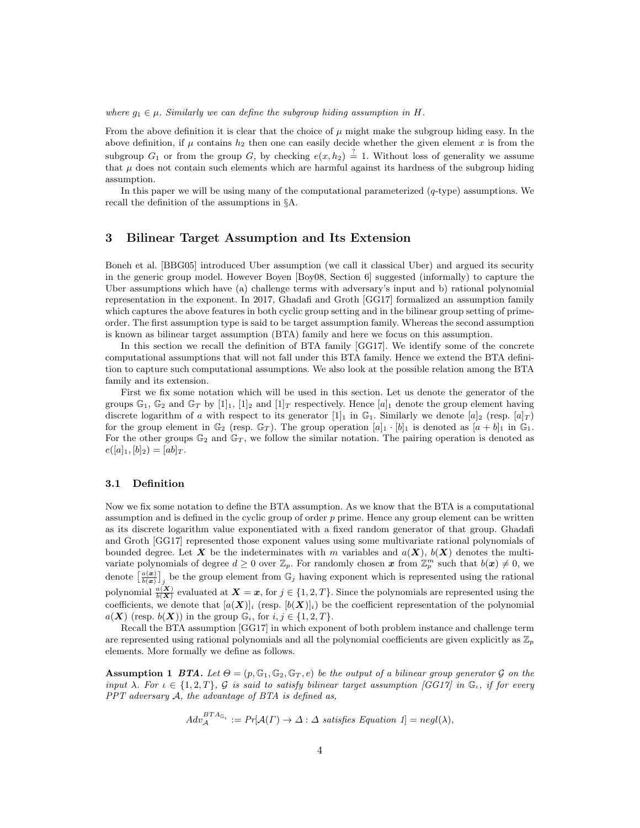#### where  $g_1 \in \mu$ . Similarly we can define the subgroup hiding assumption in H.

From the above definition it is clear that the choice of  $\mu$  might make the subgroup hiding easy. In the above definition, if  $\mu$  contains  $h_2$  then one can easily decide whether the given element x is from the subgroup  $G_1$  or from the group G, by checking  $e(x, h_2) \stackrel{?}{=} 1$ . Without loss of generality we assume that  $\mu$  does not contain such elements which are harmful against its hardness of the subgroup hiding assumption.

In this paper we will be using many of the computational parameterized  $(q$ -type) assumptions. We recall the definition of the assumptions in §A.

## 3 Bilinear Target Assumption and Its Extension

Boneh et al. [BBG05] introduced Uber assumption (we call it classical Uber) and argued its security in the generic group model. However Boyen [Boy08, Section 6] suggested (informally) to capture the Uber assumptions which have (a) challenge terms with adversary's input and b) rational polynomial representation in the exponent. In 2017, Ghadafi and Groth [GG17] formalized an assumption family which captures the above features in both cyclic group setting and in the bilinear group setting of primeorder. The first assumption type is said to be target assumption family. Whereas the second assumption is known as bilinear target assumption (BTA) family and here we focus on this assumption.

In this section we recall the definition of BTA family [GG17]. We identify some of the concrete computational assumptions that will not fall under this BTA family. Hence we extend the BTA definition to capture such computational assumptions. We also look at the possible relation among the BTA family and its extension.

First we fix some notation which will be used in this section. Let us denote the generator of the groups  $\mathbb{G}_1$ ,  $\mathbb{G}_2$  and  $\mathbb{G}_T$  by  $[1]_1$ ,  $[1]_2$  and  $[1]_T$  respectively. Hence  $[a]_1$  denote the group element having discrete logarithm of a with respect to its generator  $[1]_1$  in  $\mathbb{G}_1$ . Similarly we denote  $[a]_2$  (resp.  $[a]_T$ ) for the group element in  $\mathbb{G}_2$  (resp.  $\mathbb{G}_T$ ). The group operation  $[a]_1 \cdot [b]_1$  is denoted as  $[a + b]_1$  in  $\mathbb{G}_1$ . For the other groups  $\mathbb{G}_2$  and  $\mathbb{G}_T$ , we follow the similar notation. The pairing operation is denoted as  $e([a]_1, [b]_2) = [ab]_T.$ 

### 3.1 Definition

Now we fix some notation to define the BTA assumption. As we know that the BTA is a computational assumption and is defined in the cyclic group of order  $p$  prime. Hence any group element can be written as its discrete logarithm value exponentiated with a fixed random generator of that group. Ghadafi and Groth [GG17] represented those exponent values using some multivariate rational polynomials of bounded degree. Let X be the indeterminates with m variables and  $a(X)$ ,  $b(X)$  denotes the multivariate polynomials of degree  $d \geq 0$  over  $\mathbb{Z}_p$ . For randomly chosen x from  $\mathbb{Z}_p^m$  such that  $b(x) \neq 0$ , we denote  $\left[\frac{a(x)}{b(x)}\right]_j$  be the group element from  $\mathbb{G}_j$  having exponent which is represented using the rational polynomial  $\frac{a(X)}{b(X)}$  evaluated at  $X = x$ , for  $j \in \{1, 2, T\}$ . Since the polynomials are represented using the coefficients, we denote that  $[a(X)]_i$  (resp.  $[b(X)]_i$ ) be the coefficient representation of the polynomial  $a(\mathbf{X})$  (resp.  $b(\mathbf{X})$ ) in the group  $\mathbb{G}_i$ , for  $i, j \in \{1, 2, T\}$ .

Recall the BTA assumption [GG17] in which exponent of both problem instance and challenge term are represented using rational polynomials and all the polynomial coefficients are given explicitly as  $\mathbb{Z}_p$ elements. More formally we define as follows.

**Assumption 1 BTA.** Let  $\Theta = (p, \mathbb{G}_1, \mathbb{G}_2, \mathbb{G}_T, e)$  be the output of a bilinear group generator G on the input  $\lambda$ . For  $\iota \in \{1,2,T\}$ , G is said to satisfy bilinear target assumption [GG17] in  $\mathbb{G}_{\iota}$ , if for every PPT adversary A, the advantage of BTA is defined as,

$$
Adv_{\mathcal{A}}^{BTA_{\mathbb{G}_t}} := Pr[\mathcal{A}(\Gamma) \to \Delta : \Delta \text{ satisfies Equation 1}] = negl(\lambda),
$$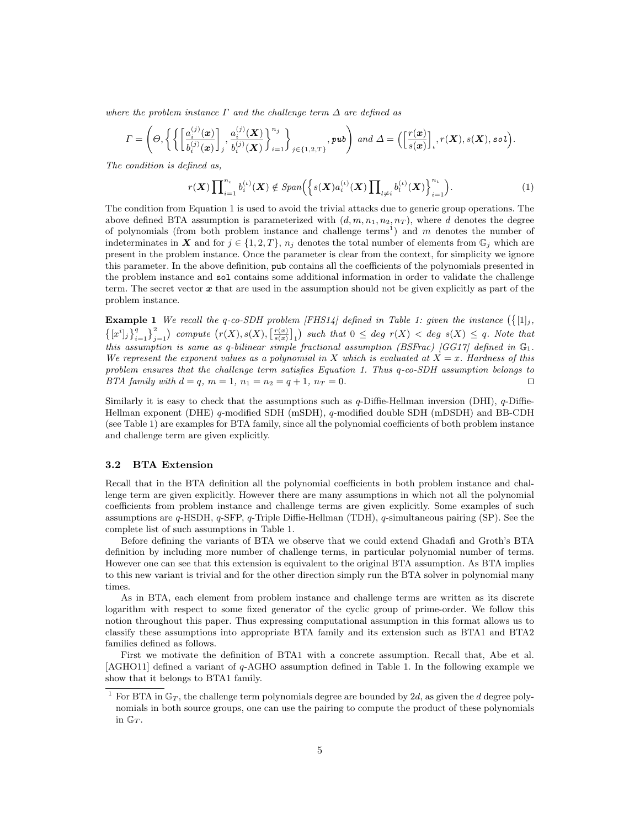where the problem instance  $\Gamma$  and the challenge term  $\Delta$  are defined as

$$
\varGamma = \left(\varTheta, \left\{ \left\{ \left[ \frac{a_i^{(j)}(\bm{x})}{b_i^{(j)}(\bm{x})} \right], \frac{a_i^{(j)}(\bm{X})}{b_i^{(j)}(\bm{X})} \right\}_{i=1}^{n_j} \right\}_{j \in \{1,2,T\}}, \text{pub} \right) \text{ and } \Delta = \left( \left[ \frac{r(\bm{x})}{s(\bm{x})} \right], r(\bm{X}), s(\bm{X}), \text{sol} \right).
$$

The condition is defined as,

$$
r(\boldsymbol{X}) \prod_{i=1}^{n_{\iota}} b_i^{(\iota)}(\boldsymbol{X}) \notin Span\Big(\Big\{ s(\boldsymbol{X}) a_i^{(\iota)}(\boldsymbol{X}) \prod_{l \neq i} b_l^{(\iota)}(\boldsymbol{X}) \Big\}_{i=1}^{n_{\iota}}\Big). \tag{1}
$$

The condition from Equation 1 is used to avoid the trivial attacks due to generic group operations. The above defined BTA assumption is parameterized with  $(d, m, n_1, n_2, n_T)$ , where d denotes the degree of polynomials (from both problem instance and challenge terms<sup>1</sup>) and  $m$  denotes the number of indeterminates in X and for  $j \in \{1, 2, T\}$ ,  $n_j$  denotes the total number of elements from  $\mathbb{G}_j$  which are present in the problem instance. Once the parameter is clear from the context, for simplicity we ignore this parameter. In the above definition, pub contains all the coefficients of the polynomials presented in the problem instance and sol contains some additional information in order to validate the challenge term. The secret vector  $x$  that are used in the assumption should not be given explicitly as part of the problem instance.

**Example 1** We recall the q-co-SDH problem [FHS14] defined in Table 1: given the instance  $({1 \choose 1}_j$ ,  $\left\{ [x^i]_j \right\}_{i=1}^q \right\}_{j=1}^2$  compute  $\left( r(X), s(X), \left[ \frac{r(x)}{s(x)} \right]_1 \right)$  such that  $0 \leq \deg r(X) < \deg s(X) \leq q$ . Note that this assumption is same as q-bilinear simple fractional assumption (BSFrac) [GG17] defined in  $\mathbb{G}_1$ . We represent the exponent values as a polynomial in X which is evaluated at  $X = x$ . Hardness of this problem ensures that the challenge term satisfies Equation 1. Thus q-co-SDH assumption belongs to BTA family with  $d = q$ ,  $m = 1$ ,  $n_1 = n_2 = q + 1$ ,  $n_T = 0$ .

Similarly it is easy to check that the assumptions such as  $q$ -Diffie-Hellman inversion (DHI),  $q$ -Diffie-Hellman exponent (DHE) q-modified SDH (mSDH), q-modified double SDH (mDSDH) and BB-CDH (see Table 1) are examples for BTA family, since all the polynomial coefficients of both problem instance and challenge term are given explicitly.

### 3.2 BTA Extension

Recall that in the BTA definition all the polynomial coefficients in both problem instance and challenge term are given explicitly. However there are many assumptions in which not all the polynomial coefficients from problem instance and challenge terms are given explicitly. Some examples of such assumptions are q-HSDH, q-SFP, q-Triple Diffie-Hellman (TDH), q-simultaneous pairing (SP). See the complete list of such assumptions in Table 1.

Before defining the variants of BTA we observe that we could extend Ghadafi and Groth's BTA definition by including more number of challenge terms, in particular polynomial number of terms. However one can see that this extension is equivalent to the original BTA assumption. As BTA implies to this new variant is trivial and for the other direction simply run the BTA solver in polynomial many times.

As in BTA, each element from problem instance and challenge terms are written as its discrete logarithm with respect to some fixed generator of the cyclic group of prime-order. We follow this notion throughout this paper. Thus expressing computational assumption in this format allows us to classify these assumptions into appropriate BTA family and its extension such as BTA1 and BTA2 families defined as follows.

First we motivate the definition of BTA1 with a concrete assumption. Recall that, Abe et al. [AGHO11] defined a variant of q-AGHO assumption defined in Table 1. In the following example we show that it belongs to BTA1 family.

<sup>&</sup>lt;sup>1</sup> For BTA in  $\mathbb{G}_T$ , the challenge term polynomials degree are bounded by 2d, as given the d degree polynomials in both source groups, one can use the pairing to compute the product of these polynomials in  $\mathbb{G}_T$ .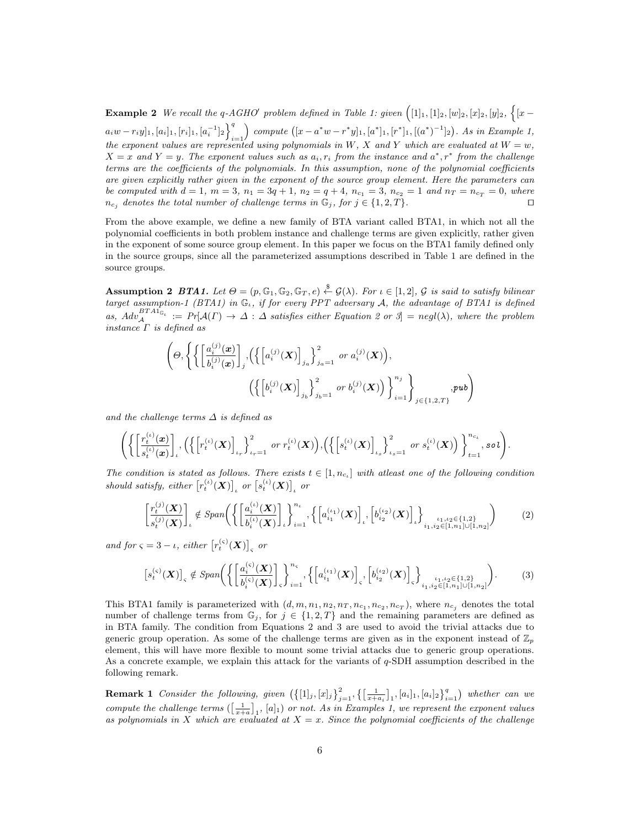**Example 2** We recall the q-AGHO' problem defined in Table 1: given  $(1]_1, [1]_2, [w]_2, [x]_2, [y]_2, \{[x - y]_1\}$  $[a_i w - r_i y]_1, [a_i]_1, [r_i]_1, [a_i^{-1}]_2\bigg\}^q$  $i=1$ compute  $([x - a^*w - r^*y]_1, [a^*]_1, [r^*]_1, [(a^*)^{-1}]_2)$ . As in Example 1, the exponent values are represented using polynomials in W, X and Y which are evaluated at  $W = w$ ,  $X = x$  and  $Y = y$ . The exponent values such as  $a_i, r_i$  from the instance and  $a^*, r^*$  from the challenge terms are the coefficients of the polynomials. In this assumption, none of the polynomial coefficients are given explicitly rather given in the exponent of the source group element. Here the parameters can be computed with  $d = 1$ ,  $m = 3$ ,  $n_1 = 3q + 1$ ,  $n_2 = q + 4$ ,  $n_{c_1} = 3$ ,  $n_{c_2} = 1$  and  $n_T = n_{c_T} = 0$ , where  $n_{c_i}$  denotes the total number of challenge terms in  $\mathbb{G}_j$ , for  $j \in \{1, 2, T\}$ .

From the above example, we define a new family of BTA variant called BTA1, in which not all the polynomial coefficients in both problem instance and challenge terms are given explicitly, rather given in the exponent of some source group element. In this paper we focus on the BTA1 family defined only in the source groups, since all the parameterized assumptions described in Table 1 are defined in the source groups.

**Assumption 2 BTA1.** Let  $\Theta = (p, \mathbb{G}_1, \mathbb{G}_2, \mathbb{G}_T, e) \stackrel{\$}{\leftarrow} \mathcal{G}(\lambda)$ . For  $\iota \in [1, 2]$ ,  $\mathcal{G}$  is said to satisfy bilinear target assumption-1 (BTA1) in  $\mathbb{G}_{\iota}$ , if for every PPT adversary A, the advantage of BTA1 is defined as,  $Adv_{\mathcal{A}}^{BTA1_{\mathbb{G}_\iota}} := Pr[\mathcal{A}(\Gamma) \to \Delta : \Delta$  satisfies either Equation 2 or 3 = negl( $\lambda$ ), where the problem instance  $\Gamma$  is defined as

$$
\left(\Theta, \left\{ \left\{ \left[\frac{a_i^{(j)}(\bm{x})}{b_i^{(j)}(\bm{x})}\right]_j, \left(\left\{ \left[a_i^{(j)}(\bm{X})\right]_{j_a}\right\}_{j_a=1}^2 \text{ or } a_i^{(j)}(\bm{X})\right), \left(\left\{ \left[b_i^{(j)}(\bm{X})\right]_{j_b}\right\}_{j_b=1}^2 \text{ or } b_i^{(j)}(\bm{X})\right)\right\}_{i=1}^{n_j}\right\}_{j \in \{1,2,T\}},\text{pub}
$$

and the challenge terms  $\Delta$  is defined as

$$
\Bigg( \bigg\{ \bigg[ \frac{r_t^{(\iota)}(\bm{x})}{s_t^{(\iota)}(\bm{x})} \bigg]_t, \bigg( \bigg\{ \bigg[r_t^{(\iota)}(\bm{X})\bigg]_{\iota_r} \bigg\}_{\iota_r=1}^2 \text{ or } r_t^{(\iota)}(\bm{X}) \bigg), \bigg( \bigg\{ \bigg[s_t^{(\iota)}(\bm{X})\bigg]_{\iota_s} \bigg\}_{\iota_s=1}^2 \text{ or } s_t^{(\iota)}(\bm{X}) \bigg) \bigg\}_{t=1}^{n_{c_\iota}}, \text{sol} \Bigg).
$$

The condition is stated as follows. There exists  $t \in [1, n_{c_t}]$  with atleast one of the following condition should satisfy, either  $\left[r_t^{(\iota)}(\bm{X})\right]_t$  or  $\left[s_t^{(\iota)}(\bm{X})\right]_t$  or

$$
\left[\frac{r_t^{(j)}(\mathbf{X})}{s_t^{(j)}(\mathbf{X})}\right]_t \notin Span\left(\left\{\left[\frac{a_i^{(\iota)}(\mathbf{X})}{b_i^{(\iota)}(\mathbf{X})}\right]_t\right\}_{i=1}^{n_t}, \left\{\left[a_{i_1}^{(\iota_1)}(\mathbf{X})\right]_t, \left[b_{i_2}^{(\iota_2)}(\mathbf{X})\right]_t\right\}_{i_1, i_2 \in \{1, n_1\} \cup \{1, n_2\}}\right\}
$$
(2)

and for  $\varsigma = 3 - \iota$ , either  $[r_t^{(\varsigma)}(\boldsymbol{X})]_{\varsigma}$  or

$$
[s_t^{(\varsigma)}(\mathbf{X})]_{\varsigma} \notin Span\bigg(\bigg\{ \bigg[\frac{a_i^{(\varsigma)}(\mathbf{X})}{b_i^{(\varsigma)}(\mathbf{X})}\bigg]_{\varsigma}\bigg\}_{i=1}^{n_{\varsigma}}, \bigg\{ \bigg[a_{i_1}^{(\iota_1)}(\mathbf{X})\bigg]_{\varsigma}, \bigg[b_{i_2}^{(\iota_2)}(\mathbf{X})\bigg]_{\varsigma}\bigg\}_{i_1, i_2 \in \{1, 2\}\atop i_1, i_2 \in [1, n_1] \cup [1, n_2]} \bigg). \tag{3}
$$

This BTA1 family is parameterized with  $(d, m, n_1, n_2, n_T, n_{c_1}, n_{c_2}, n_{c_T})$ , where  $n_{c_j}$  denotes the total number of challenge terms from  $\mathbb{G}_j$ , for  $j \in \{1,2,T\}$  and the remaining parameters are defined as in BTA family. The condition from Equations 2 and 3 are used to avoid the trivial attacks due to generic group operation. As some of the challenge terms are given as in the exponent instead of  $\mathbb{Z}_p$ element, this will have more flexible to mount some trivial attacks due to generic group operations. As a concrete example, we explain this attack for the variants of  $q$ -SDH assumption described in the following remark.

**Remark 1** Consider the following, given  $(\{[1]_j,[x]_j\}_{j=1}^2,\{\left[\frac{1}{x+a_i}\right]_1,[a_i]_1,[a_i]_2\}_{i=1}^q)$  whether can we compute the challenge terms  $(\frac{1}{x+a})_1$ ,  $[a]_1$  or not. As in Examples 1, we represent the exponent values as polynomials in X which are evaluated at  $X = x$ . Since the polynomial coefficients of the challenge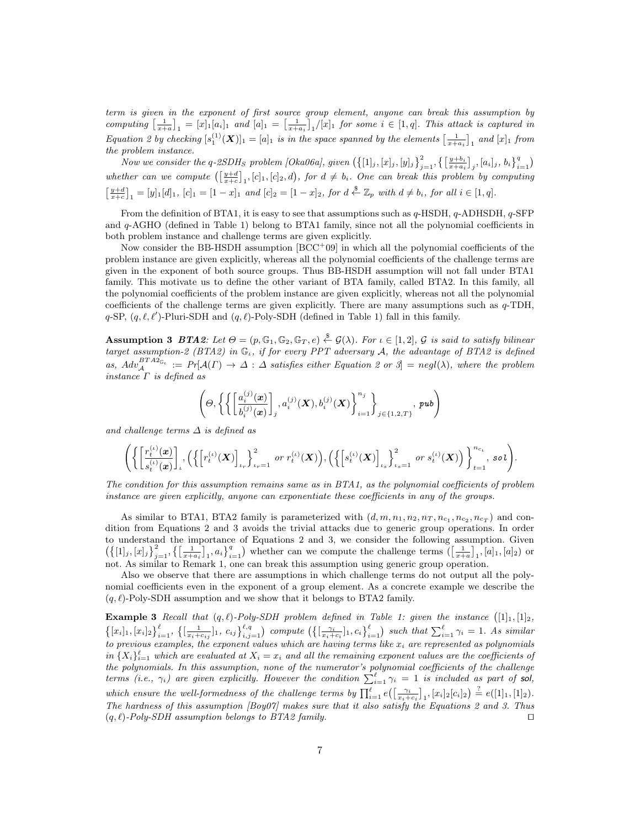term is given in the exponent of first source group element, anyone can break this assumption by computing  $\left[\frac{1}{x+a}\right]_1 = [x]_1[a_i]_1$  and  $[a]_1 = \left[\frac{1}{x+a_i}\right]_1/[x]_1$  for some  $i \in [1,q]$ . This attack is captured in Equation 2 by checking  $[s_1^{(1)}(\mathbf{X})]_1 = [a]_1$  is in the space spanned by the elements  $\left[\frac{1}{x+a_i}\right]_1$  and  $[x]_1$  from the problem instance.

Now we consider the q-2SDH<sub>S</sub> problem [Oka06a], given  $(\{[1]_j,[x]_j,[y]_j\}_{j=1}^2,\{\left[\frac{y+b_i}{x+a_i}\right]_j,[a_i]_j,b_i\}_{i=1}^q)$ whether can we compute  $(\frac{y+d}{x+c}]_1$ ,  $[c]_1$ ,  $[c]_2$ , d), for  $d \neq b_i$ . One can break this problem by computing  $\left[\frac{y+d}{x+c}\right]_1 = [y]_1[d_1, [c]_1 = [1-x]_1$  and  $[c]_2 = [1-x]_2$ , for  $d \stackrel{\$}{\leftarrow} \mathbb{Z}_p$  with  $d \neq b_i$ , for all  $i \in [1,q]$ .

From the definition of BTA1, it is easy to see that assumptions such as q-HSDH, q-ADHSDH, q-SFP and q-AGHO (defined in Table 1) belong to BTA1 family, since not all the polynomial coefficients in both problem instance and challenge terms are given explicitly.

Now consider the BB-HSDH assumption  $[BCC^+09]$  in which all the polynomial coefficients of the problem instance are given explicitly, whereas all the polynomial coefficients of the challenge terms are given in the exponent of both source groups. Thus BB-HSDH assumption will not fall under BTA1 family. This motivate us to define the other variant of BTA family, called BTA2. In this family, all the polynomial coefficients of the problem instance are given explicitly, whereas not all the polynomial coefficients of the challenge terms are given explicitly. There are many assumptions such as  $q$ -TDH,  $q$ -SP,  $(q, \ell, \ell')$ -Pluri-SDH and  $(q, \ell)$ -Poly-SDH (defined in Table 1) fall in this family.

**Assumption 3** BTA2: Let  $\Theta = (p, \mathbb{G}_1, \mathbb{G}_2, \mathbb{G}_T, e) \stackrel{\$}{\leftarrow} \mathcal{G}(\lambda)$ . For  $\iota \in [1, 2]$ ,  $\mathcal{G}$  is said to satisfy bilinear target assumption-2 (BTA2) in  $\mathbb{G}_{\iota}$ , if for every PPT adversary A, the advantage of BTA2 is defined as,  $Adv_{\mathcal{A}}^{BTAZ_{\mathbb{G}_\iota}} := Pr[\mathcal{A}(\Gamma) \to \Delta : \Delta$  satisfies either Equation 2 or 3 = negl( $\lambda$ ), where the problem instance  $\Gamma$  is defined as

$$
\left(\varTheta,\left\{\left\{\left[\frac{a_i^{(j)}(\pmb x)}{b_i^{(j)}(\pmb x)}\right]_j,a_i^{(j)}(\pmb X),b_i^{(j)}(\pmb X)\right\}_{i=1}^{n_j}\right\}_{j\in\{1,2,T\}},\, \pmb{pub}\right)
$$

and challenge terms  $\Delta$  is defined as

$$
\Bigg(\bigg\{\bigg[\frac{r_t^{(\iota)}(\boldsymbol{x})}{s_t^{(\iota)}(\boldsymbol{x})}\bigg]_\iota, \Big(\bigg\{\bigg[r_t^{(\iota)}(\boldsymbol{X})\bigg]_{\iota_r}\bigg\}_{\iota_r=1}^2 \text{ or } r_t^{(\iota)}(\boldsymbol{X})\Big), \Big(\bigg\{\bigg[s_t^{(\iota)}(\boldsymbol{X})\bigg]_{\iota_s}\bigg\}_{\iota_s=1}^2 \text{ or } s_t^{(\iota)}(\boldsymbol{X})\Big)\bigg\}_{t=1}^{n_{c_\iota}}, \text{ so } \iota\Bigg).
$$

The condition for this assumption remains same as in BTA1, as the polynomial coefficients of problem instance are given explicitly, anyone can exponentiate these coefficients in any of the groups.

As similar to BTA1, BTA2 family is parameterized with  $(d, m, n_1, n_2, n_T, n_{c_1}, n_{c_2}, n_{c_T})$  and condition from Equations 2 and 3 avoids the trivial attacks due to generic group operations. In order to understand the importance of Equations 2 and 3, we consider the following assumption. Given  $(\{[1], [x]_j\}_{j=1}^2, \{[\frac{1}{x+a_i}]_1, a_i\}_{i=1}^q)$  whether can we compute the challenge terms  $([\frac{1}{x+a}]_1, [a]_1, [a]_2)$  or not. As similar to Remark 1, one can break this assumption using generic group operation.

Also we observe that there are assumptions in which challenge terms do not output all the polynomial coefficients even in the exponent of a group element. As a concrete example we describe the  $(q, \ell)$ -Poly-SDH assumption and we show that it belongs to BTA2 family.

**Example 3** Recall that  $(q, \ell)$ -Poly-SDH problem defined in Table 1: given the instance  $(1_1, 1_2)$ ,  $\left\{ [x_i]_1, [x_i]_2 \right\}_{i=1}^{\ell}$ ,  $\left\{ \left[ \frac{1}{x_i + c_{ij}} \right]_1, c_{ij} \right\}_{i,j=1}^{\ell,q}$  compute  $\left( \left\{ \left[ \frac{\gamma_i}{x_i + c_i} \right]_1, c_i \right\}_{i=1}^{\ell} \right)$  such that  $\sum_{i=1}^{\ell} \gamma_i = 1$ . As similar to previous examples, the exponent values which are having terms like  $x_i$  are represented as polynomials in  $\{X_i\}_{i=1}^{\ell}$  which are evaluated at  $X_i = x_i$  and all the remaining exponent values are the coefficients of the polynomials. In this assumption, none of the numerator's polynomial coefficients of the challenge terms (i.e.,  $\gamma_i$ ) are given explicitly. However the condition  $\sum_{i=1}^{\ell} \gamma_i = 1$  is included as part of sol, which ensure the well-formedness of the challenge terms by  $\prod_{i=1}^{\ell} e(\left[\frac{\gamma_i}{x_i+c_i}\right]_1, [x_i]_2[c_i]_2) \stackrel{?}{=} e([1]_1, [1]_2)$ . The hardness of this assumption  $[Boy07]$  makes sure that it also satisfy the Equations 2 and 3. Thus  $(q, \ell)$ -Poly-SDH assumption belongs to BTA2 family.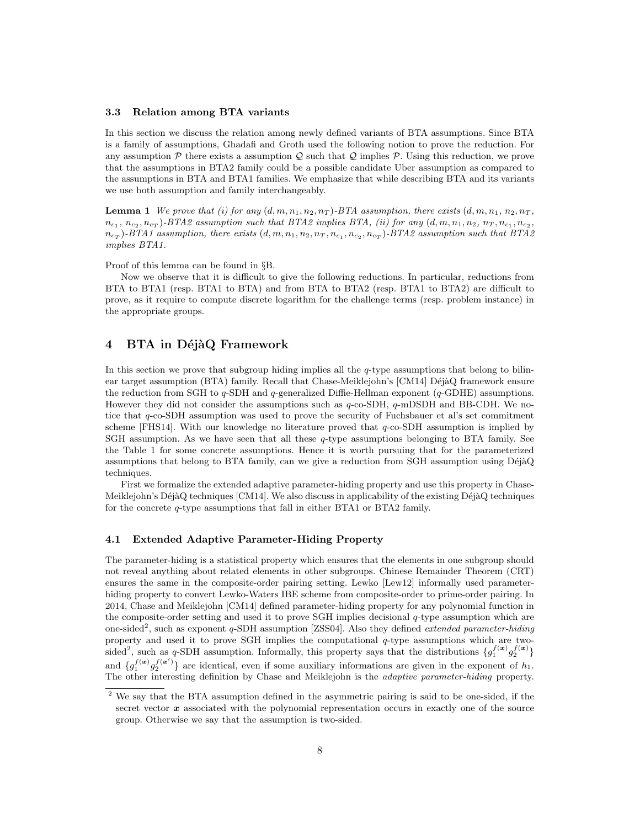#### 3.3 Relation among BTA variants

In this section we discuss the relation among newly defined variants of BTA assumptions. Since BTA is a family of assumptions, Ghadafi and Groth used the following notion to prove the reduction. For any assumption  $P$  there exists a assumption  $Q$  such that  $Q$  implies  $P$ . Using this reduction, we prove that the assumptions in BTA2 family could be a possible candidate Uber assumption as compared to the assumptions in BTA and BTA1 families. We emphasize that while describing BTA and its variants we use both assumption and family interchangeably.

**Lemma 1** We prove that (i) for any  $(d, m, n_1, n_2, n_T)$ -BTA assumption, there exists  $(d, m, n_1, n_2, n_T)$ ,  $n_{c_1}, n_{c_2}, n_{c_T}$ )-BTA2 assumption such that BTA2 implies BTA, (ii) for any  $(d, m, n_1, n_2, n_T, n_{c_1}, n_{c_2}, n_{c_2})$  $n_{cr}$ )-BTA1 assumption, there exists  $(d, m, n_1, n_2, n_T, n_{c_1}, n_{c_2}, n_{c_T})$ -BTA2 assumption such that BTA2 implies BTA1.

Proof of this lemma can be found in §B.

Now we observe that it is difficult to give the following reductions. In particular, reductions from BTA to BTA1 (resp. BTA1 to BTA) and from BTA to BTA2 (resp. BTA1 to BTA2) are difficult to prove, as it require to compute discrete logarithm for the challenge terms (resp. problem instance) in the appropriate groups.

# 4 BTA in DéjàQ Framework

In this section we prove that subgroup hiding implies all the  $q$ -type assumptions that belong to bilinear target assumption (BTA) family. Recall that Chase-Meiklejohn's [CM14] DéjàQ framework ensure the reduction from SGH to  $q$ -SDH and  $q$ -generalized Diffie-Hellman exponent ( $q$ -GDHE) assumptions. However they did not consider the assumptions such as  $q$ -co-SDH,  $q$ -mDSDH and BB-CDH. We notice that q-co-SDH assumption was used to prove the security of Fuchsbauer et al's set commitment scheme [FHS14]. With our knowledge no literature proved that  $q$ -co-SDH assumption is implied by SGH assumption. As we have seen that all these q-type assumptions belonging to BTA family. See the Table 1 for some concrete assumptions. Hence it is worth pursuing that for the parameterized assumptions that belong to BTA family, can we give a reduction from SGH assumption using  $\text{DéjaQ}$ techniques.

First we formalize the extended adaptive parameter-hiding property and use this property in Chase-Meiklejohn's Déjà $Q$  techniques [CM14]. We also discuss in applicability of the existing Déjà $Q$  techniques for the concrete q-type assumptions that fall in either BTA1 or BTA2 family.

### 4.1 Extended Adaptive Parameter-Hiding Property

The parameter-hiding is a statistical property which ensures that the elements in one subgroup should not reveal anything about related elements in other subgroups. Chinese Remainder Theorem (CRT) ensures the same in the composite-order pairing setting. Lewko [Lew12] informally used parameterhiding property to convert Lewko-Waters IBE scheme from composite-order to prime-order pairing. In 2014, Chase and Meiklejohn [CM14] defined parameter-hiding property for any polynomial function in the composite-order setting and used it to prove SGH implies decisional  $q$ -type assumption which are one-sided<sup>2</sup>, such as exponent q-SDH assumption [ZSS04]. Also they defined *extended parameter-hiding* property and used it to prove SGH implies the computational q-type assumptions which are twosided<sup>2</sup>, such as q-SDH assumption. Informally, this property says that the distributions  $\{g_1^{f(x)}g_2^{f(x)}\}$ and  $\{g_1^{f(x)}g_2^{f(x')}\}\$  are identical, even if some auxiliary informations are given in the exponent of  $h_1$ . The other interesting definition by Chase and Meiklejohn is the adaptive parameter-hiding property.

<sup>&</sup>lt;sup>2</sup> We say that the BTA assumption defined in the asymmetric pairing is said to be one-sided, if the secret vector  $x$  associated with the polynomial representation occurs in exactly one of the source group. Otherwise we say that the assumption is two-sided.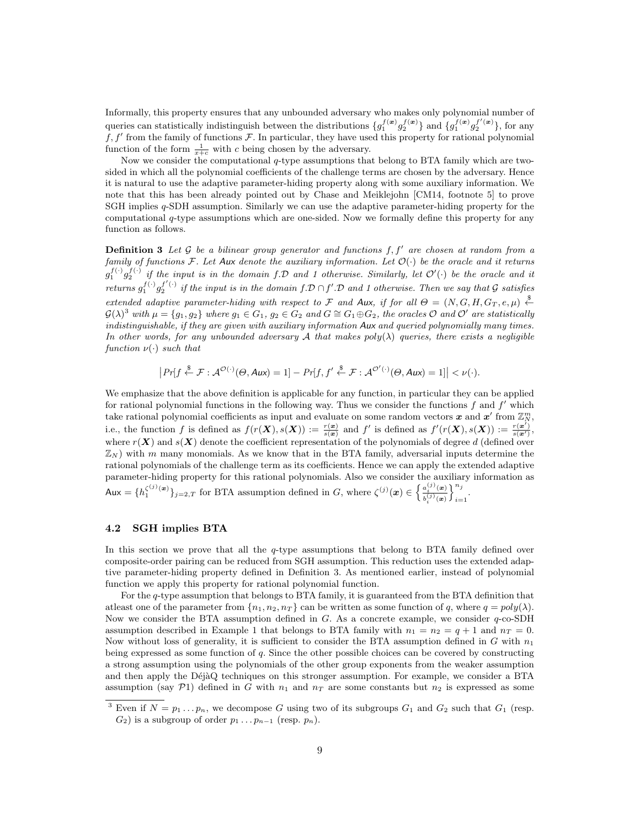Informally, this property ensures that any unbounded adversary who makes only polynomial number of queries can statistically indistinguish between the distributions  $\{g_1^{f(\bm{x})}g_2^{f(\bm{x})}\}\$  and  $\{g_1^{f(\bm{x})}g_2^{f'(\bm{x})}\}\$ , for any  $f, f'$  from the family of functions  $\mathcal F$ . In particular, they have used this property for rational polynomial function of the form  $\frac{1}{x+c}$  with c being chosen by the adversary.

Now we consider the computational q-type assumptions that belong to BTA family which are twosided in which all the polynomial coefficients of the challenge terms are chosen by the adversary. Hence it is natural to use the adaptive parameter-hiding property along with some auxiliary information. We note that this has been already pointed out by Chase and Meiklejohn [CM14, footnote 5] to prove SGH implies q-SDH assumption. Similarly we can use the adaptive parameter-hiding property for the computational q-type assumptions which are one-sided. Now we formally define this property for any function as follows.

**Definition 3** Let  $\mathcal{G}$  be a bilinear group generator and functions  $f, f'$  are chosen at random from a family of functions F. Let Aux denote the auxiliary information. Let  $\mathcal{O}(\cdot)$  be the oracle and it returns  $g_1^{f(\cdot)}g_2^{f(\cdot)}$  if the input is in the domain f.D and 1 otherwise. Similarly, let  $\mathcal{O}'(\cdot)$  be the oracle and it returns  $g_1^{f(\cdot)}g_2^{f'(\cdot)}$  if the input is in the domain  $f.D \cap f'.D$  and 1 otherwise. Then we say that G satisfies extended adaptive parameter-hiding with respect to F and Aux, if for all  $\Theta = (N, G, H, G_T, e, \mu) \stackrel{\$}{\leftarrow}$  $\mathcal{G}(\lambda)^3$  with  $\mu = \{g_1, g_2\}$  where  $g_1 \in G_1$ ,  $g_2 \in G_2$  and  $G \cong G_1 \oplus G_2$ , the oracles  $\mathcal{O}$  and  $\mathcal{O}'$  are statistically indistinguishable, if they are given with auxiliary information Aux and queried polynomially many times. In other words, for any unbounded adversary A that makes  $poly(\lambda)$  queries, there exists a negligible function  $\nu(\cdot)$  such that

$$
\left|\Pr[f \stackrel{\$}{\leftarrow} \mathcal{F}:\mathcal{A}^{\mathcal{O}(\cdot)}(\Theta, Aux) = 1] - \Pr[f, f' \stackrel{\$}{\leftarrow} \mathcal{F}:\mathcal{A}^{\mathcal{O}'(\cdot)}(\Theta, Aux) = 1]\right| < \nu(\cdot).
$$

We emphasize that the above definition is applicable for any function, in particular they can be applied for rational polynomial functions in the following way. Thus we consider the functions  $f$  and  $f'$  which take rational polynomial coefficients as input and evaluate on some random vectors  $\bm{x}$  and  $\bm{x}'$  from  $\mathbb{Z}_N^m$ , i.e., the function f is defined as  $f(r(\boldsymbol{X}), s(\boldsymbol{X})) := \frac{r(\boldsymbol{x})}{s(\boldsymbol{x})}$  and f' is defined as  $f'(r(\boldsymbol{X}), s(\boldsymbol{X})) := \frac{r(\boldsymbol{x}')}{s(\boldsymbol{x}')}$ , where  $r(X)$  and  $s(X)$  denote the coefficient representation of the polynomials of degree d (defined over  $\mathbb{Z}_N$ ) with m many monomials. As we know that in the BTA family, adversarial inputs determine the rational polynomials of the challenge term as its coefficients. Hence we can apply the extended adaptive parameter-hiding property for this rational polynomials. Also we consider the auxiliary information as  $\mathsf{Aux} = \{h_1^{\zeta^{(j)}(\boldsymbol{x})}\}_{j=2,T}$  for BTA assumption defined in G, where  $\zeta^{(j)}(\boldsymbol{x}) \in \left\{\frac{a_i^{(j)}(\boldsymbol{x})}{h^{(j)}(\boldsymbol{x})}\right\}$  $b^{(j)}_i(\bm{x})$  $\lambda^{n_j}$  $i=1$ 

### 4.2 SGH implies BTA

In this section we prove that all the q-type assumptions that belong to BTA family defined over composite-order pairing can be reduced from SGH assumption. This reduction uses the extended adaptive parameter-hiding property defined in Definition 3. As mentioned earlier, instead of polynomial function we apply this property for rational polynomial function.

For the q-type assumption that belongs to BTA family, it is guaranteed from the BTA definition that atleast one of the parameter from  $\{n_1, n_2, n_T\}$  can be written as some function of q, where  $q = poly(\lambda)$ . Now we consider the BTA assumption defined in  $G$ . As a concrete example, we consider  $q$ -co-SDH assumption described in Example 1 that belongs to BTA family with  $n_1 = n_2 = q + 1$  and  $n_T = 0$ . Now without loss of generality, it is sufficient to consider the BTA assumption defined in  $G$  with  $n_1$ being expressed as some function of q. Since the other possible choices can be covered by constructing a strong assumption using the polynomials of the other group exponents from the weaker assumption and then apply the DéjàQ techniques on this stronger assumption. For example, we consider a BTA assumption (say P1) defined in G with  $n_1$  and  $n_T$  are some constants but  $n_2$  is expressed as some

<sup>&</sup>lt;sup>3</sup> Even if  $N = p_1 \dots p_n$ , we decompose G using two of its subgroups  $G_1$  and  $G_2$  such that  $G_1$  (resp.  $G_2$ ) is a subgroup of order  $p_1 \tldots p_{n-1}$  (resp.  $p_n$ ).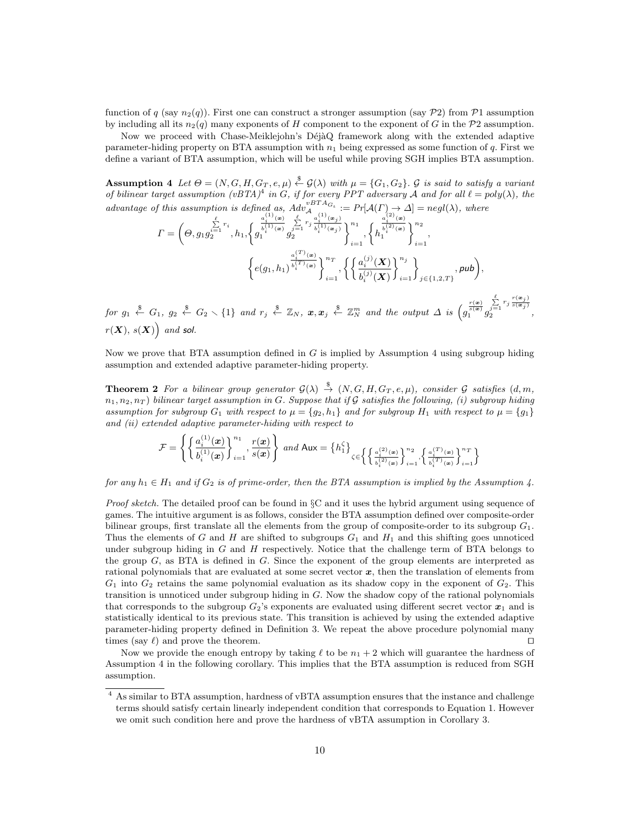function of q (say  $n_2(q)$ ). First one can construct a stronger assumption (say P2) from P1 assumption by including all its  $n_2(q)$  many exponents of H component to the exponent of G in the P2 assumption.

Now we proceed with Chase-Meiklejohn's DéjàQ framework along with the extended adaptive parameter-hiding property on BTA assumption with  $n_1$  being expressed as some function of q. First we define a variant of BTA assumption, which will be useful while proving SGH implies BTA assumption.

**Assumption 4** Let  $\Theta = (N, G, H, G_T, e, \mu) \stackrel{\$}{\leftarrow} \mathcal{G}(\lambda)$  with  $\mu = \{G_1, G_2\}$ .  $\mathcal G$  is said to satisfy a variant of bilinear target assumption  $(vBTA)^4$  in G, if for every PPT adversary A and for all  $\ell = poly(\lambda)$ , the advantage of this assumption is defined as,  $Adv_{\mathcal{A}}^{vBTAG_{\iota}} := Pr[\mathcal{A}(\Gamma) \to \Delta] = negl(\lambda)$ , where

$$
I = \left(\Theta, g_1 g_2^{\sum_{i=1}^{k} r_i}, h_1, \left\{g_1^{\frac{a_1^{(1)}(\mathbf{a})}{\delta_1^{(1)}(\mathbf{a})}}g_2^{\sum_{j=1}^{j} r_j}g_2^{\frac{a_1^{(1)}(\mathbf{a}_j)}{b_1^{(1)}(\mathbf{a}_j)}}\right\}_{i=1}^{n_1}, \left\{h_1^{\frac{a_2^{(2)}(\mathbf{a})}{\delta_2^{(2)}(\mathbf{a})}}\right\}_{i=1}^{n_2},
$$
\n
$$
\left\{e(g_1, h_1)^{\frac{a_1^{(T)}(\mathbf{a})}{b_1^{(T)}(\mathbf{a})}}\right\}_{i=1}^{n_T}, \left\{\left\{\frac{a_i^{(J)}(\mathbf{X})}{b_i^{(J)}(\mathbf{X})}\right\}_{i=1}^{n_j}\right\}_{j \in \{1, 2, T\}}, \text{pub}\right\},
$$
\n
$$
\bullet
$$

 $\textit{for $g_1$ $\stackrel{\$}{\leftarrow} $ $G_1$, $g_2$ $\stackrel{\$}{\leftarrow} $G_2 \smallsetminus \{1\}$ and $r_j$ $\stackrel{\$}{\leftarrow} $\mathbb{Z}_N$, $x, x_j$ $\stackrel{\$}{\leftarrow} $\mathbb{Z}_N^m$ and the output $\Delta$ is $\left(g_i^{\frac{r(\Phi)}{s(\Phi)}}g_i^{\frac{r(\Phi)}{s(\Phi)}}\right)$, where $g_j$ is a constant, and $g_j$ is a constant.}$  $\sum_{j=1}^{\ell}$ <br>2  $\frac{r(\bm{x}_j)}{s(\bm{x}_j)}$ ,  $r(X), s(X)$  and sol.

Now we prove that BTA assumption defined in  $G$  is implied by Assumption 4 using subgroup hiding assumption and extended adaptive parameter-hiding property.

**Theorem 2** For a bilinear group generator  $\mathcal{G}(\lambda) \stackrel{\$}{\rightarrow} (N, G, H, G_T, e, \mu)$ , consider G satisfies  $(d, m, \mu)$  $n_1, n_2, n_T$  ) bilinear target assumption in G. Suppose that if G satisfies the following, (i) subgroup hiding assumption for subgroup  $G_1$  with respect to  $\mu = \{g_2, h_1\}$  and for subgroup  $H_1$  with respect to  $\mu = \{g_1\}$ and (ii) extended adaptive parameter-hiding with respect to

$$
\mathcal{F} = \left\{ \left\{ \frac{a_i^{(1)}(\boldsymbol{x})}{b_i^{(1)}(\boldsymbol{x})} \right\}_{i=1}^{n_1}, \frac{r(\boldsymbol{x})}{s(\boldsymbol{x})} \right\} \ and \ \mathsf{Aux} = \left\{ h_1^{\zeta} \right\}_{\zeta \in \left\{ \left\{ \frac{a_i^{(2)}(\boldsymbol{x})}{b_i^{(2)}(\boldsymbol{x})} \right\}_{i=1}^{n_2}, \left\{ \frac{a_i^{(T)}(\boldsymbol{x})}{b_i^{(T)}(\boldsymbol{x})} \right\}_{i=1}^{n_T} \right\}}
$$

 $\sim$ 

for any  $h_1 \in H_1$  and if  $G_2$  is of prime-order, then the BTA assumption is implied by the Assumption 4.

Proof sketch. The detailed proof can be found in §C and it uses the hybrid argument using sequence of games. The intuitive argument is as follows, consider the BTA assumption defined over composite-order bilinear groups, first translate all the elements from the group of composite-order to its subgroup  $G_1$ . Thus the elements of G and H are shifted to subgroups  $G_1$  and  $H_1$  and this shifting goes unnoticed under subgroup hiding in  $G$  and  $H$  respectively. Notice that the challenge term of BTA belongs to the group G, as BTA is defined in G. Since the exponent of the group elements are interpreted as rational polynomials that are evaluated at some secret vector  $x$ , then the translation of elements from  $G_1$  into  $G_2$  retains the same polynomial evaluation as its shadow copy in the exponent of  $G_2$ . This transition is unnoticed under subgroup hiding in G. Now the shadow copy of the rational polynomials that corresponds to the subgroup  $G_2$ 's exponents are evaluated using different secret vector  $x_1$  and is statistically identical to its previous state. This transition is achieved by using the extended adaptive parameter-hiding property defined in Definition 3. We repeat the above procedure polynomial many times (say  $\ell$ ) and prove the theorem.  $\Box$ 

Now we provide the enough entropy by taking  $\ell$  to be  $n_1 + 2$  which will guarantee the hardness of Assumption 4 in the following corollary. This implies that the BTA assumption is reduced from SGH assumption.

<sup>4</sup> As similar to BTA assumption, hardness of vBTA assumption ensures that the instance and challenge terms should satisfy certain linearly independent condition that corresponds to Equation 1. However we omit such condition here and prove the hardness of vBTA assumption in Corollary 3.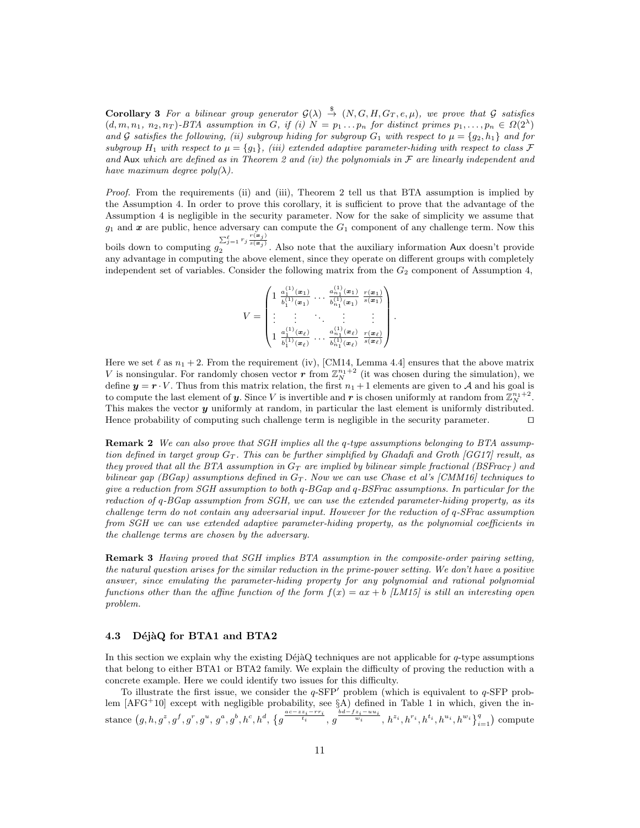**Corollary 3** For a bilinear group generator  $G(\lambda) \stackrel{\$}{\rightarrow} (N, G, H, G_T, e, \mu)$ , we prove that G satisfies  $(d, m, n_1, n_2, n_T)$ -BTA assumption in G, if (i)  $N = p_1 ... p_n$  for distinct primes  $p_1,..., p_n \in \Omega(2^{\lambda})$ and G satisfies the following, (ii) subgroup hiding for subgroup  $G_1$  with respect to  $\mu = \{g_2, h_1\}$  and for subgroup  $H_1$  with respect to  $\mu = \{g_1\}$ , (iii) extended adaptive parameter-hiding with respect to class F and Aux which are defined as in Theorem 2 and (iv) the polynomials in  $\mathcal F$  are linearly independent and have maximum degree  $poly(\lambda)$ .

Proof. From the requirements (ii) and (iii), Theorem 2 tell us that BTA assumption is implied by the Assumption 4. In order to prove this corollary, it is sufficient to prove that the advantage of the Assumption 4 is negligible in the security parameter. Now for the sake of simplicity we assume that  $g_1$  and  $x$  are public, hence adversary can compute the  $G_1$  component of any challenge term. Now this boils down to computing  $g_2^{\sum_{j=1}^{\ell} r_j \frac{r(\bm{x}_j)}{s(\bm{x}_j)}}$ . Also note that the auxiliary information Aux doesn't provide

any advantage in computing the above element, since they operate on different groups with completely independent set of variables. Consider the following matrix from the  $G_2$  component of Assumption 4,

$$
V = \begin{pmatrix} 1 & \frac{a_1^{(1)}(\mathbf{x}_1)}{b_1^{(1)}(\mathbf{x}_1)} & \cdots & \frac{a_{n_1}^{(1)}(\mathbf{x}_1)}{b_{n_1}^{(1)}(\mathbf{x}_1)} & \frac{r(\mathbf{x}_1)}{s(\mathbf{x}_1)} \\ \vdots & \vdots & \ddots & \vdots & \vdots \\ 1 & \frac{a_1^{(1)}(\mathbf{x}_\ell)}{b_1^{(1)}(\mathbf{x}_\ell)} & \cdots & \frac{a_{n_1}^{(1)}(\mathbf{x}_\ell)}{b_{n_1}^{(1)}(\mathbf{x}_\ell)} & \frac{r(\mathbf{x}_\ell)}{s(\mathbf{x}_\ell)} \end{pmatrix}
$$

.

Here we set  $\ell$  as  $n_1 + 2$ . From the requirement (iv), [CM14, Lemma 4.4] ensures that the above matrix V is nonsingular. For randomly chosen vector r from  $\mathbb{Z}_N^{n_1+2}$  (it was chosen during the simulation), we define  $y = r \cdot V$ . Thus from this matrix relation, the first  $n_1 + 1$  elements are given to A and his goal is to compute the last element of **y**. Since V is invertible and **r** is chosen uniformly at random from  $\mathbb{Z}_{N}^{n_{1}+2}$ . This makes the vector  $y$  uniformly at random, in particular the last element is uniformly distributed. Hence probability of computing such challenge term is negligible in the security parameter.  $\Box$ 

Remark 2 We can also prove that SGH implies all the q-type assumptions belonging to BTA assumption defined in target group  $G_T$ . This can be further simplified by Ghadafi and Groth  $|GG17|$  result, as they proved that all the BTA assumption in  $G_T$  are implied by bilinear simple fractional (BSFrac<sub>T</sub>) and bilinear gap (BGap) assumptions defined in  $G_T$ . Now we can use Chase et al's [CMM16] techniques to give a reduction from SGH assumption to both q-BGap and q-BSFrac assumptions. In particular for the reduction of q-BGap assumption from SGH, we can use the extended parameter-hiding property, as its challenge term do not contain any adversarial input. However for the reduction of q-SFrac assumption from SGH we can use extended adaptive parameter-hiding property, as the polynomial coefficients in the challenge terms are chosen by the adversary.

Remark 3 Having proved that SGH implies BTA assumption in the composite-order pairing setting, the natural question arises for the similar reduction in the prime-power setting. We don't have a positive answer, since emulating the parameter-hiding property for any polynomial and rational polynomial functions other than the affine function of the form  $f(x) = ax + b$  [LM15] is still an interesting open problem.

### 4.3 DéjàQ for BTA1 and BTA2

In this section we explain why the existing DéjàQ techniques are not applicable for  $q$ -type assumptions that belong to either BTA1 or BTA2 family. We explain the difficulty of proving the reduction with a concrete example. Here we could identify two issues for this difficulty.

To illustrate the first issue, we consider the  $q$ -SFP<sup>'</sup> problem (which is equivalent to  $q$ -SFP problem  $[AFG+10]$  except with negligible probability, see §A) defined in Table 1 in which, given the in- $\text{stance } (g, h, g^z, g^f, g^r, g^u, g^a, g^b, h^c, h^d, \{g^{\frac{ac - zz_i - rr_i}{t_i}}, g^{\frac{bd - fz_i - uu_i}{w_i}}, h^{z_i}, h^{r_i}, h^{t_i}, h^{u_i}, h^{w_i}\}_{i=1}^q\}$  compute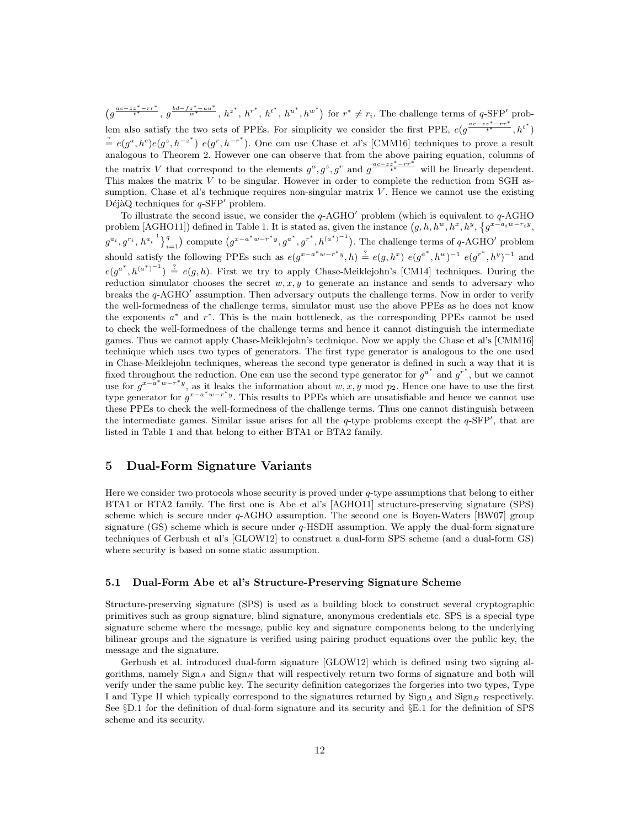$(g^{\frac{ac-zz^*-rr^*}{t^*}},g^{\frac{bd-fz^*-uu^*}{w^*}},h^{z^*},h^{r^*},h^{t^*},h^{w^*})$  for  $r^*\neq r_i$ . The challenge terms of q-SFP' problem also satisfy the two sets of PPEs. For simplicity we consider the first PPE,  $e(g^{\frac{ac-zz^* - rr^*}{t^*}}, h^{t^*})$  $\stackrel{?}{=} e(g^a, h^c)e(g^z, h^{-z^*}) e(g^r, h^{-r^*})$ . One can use Chase et al's [CMM16] techniques to prove a result analogous to Theorem 2. However one can observe that from the above pairing equation, columns of the matrix V that correspond to the elements  $g^a$ ,  $g^z$ ,  $g^r$  and  $g^{a-czz^*-rr^*}$  will be linearly dependent. This makes the matrix  $V$  to be singular. However in order to complete the reduction from SGH assumption, Chase et al's technique requires non-singular matrix  $V$ . Hence we cannot use the existing DéjàQ techniques for  $q$ -SFP<sup>'</sup> problem.

To illustrate the second issue, we consider the  $q$ -AGHO<sup>'</sup> problem (which is equivalent to  $q$ -AGHO problem [AGHO11]) defined in Table 1. It is stated as, given the instance  $(g, h, h^w, h^x, h^y, \{g^{x-a_iw-ry}, g^{(x)}\}$  $g^{a_i}, g^{r_i}, h^{a_i^{-1}}\}_{i=1}^q$  compute  $(g^{x-a^*w-r^*y}, g^{a^*}, g^{r^*}, h^{(a^*)^{-1}})$ . The challenge terms of q-AGHO' problem  $i=1$ should satisfy the following PPEs such as  $e(g^{x-a^*w-r^*y}, h) \stackrel{?}{=} e(g, h^x) e(g^{a^*}, h^w)^{-1} e(g^{r^*}, h^y)^{-1}$  and  $e(g^{a^*}, h^{(a^*)^{-1}}) \stackrel{?}{=} e(g, h)$ . First we try to apply Chase-Meiklejohn's [CM14] techniques. During the reduction simulator chooses the secret  $w, x, y$  to generate an instance and sends to adversary who breaks the  $q$ -AGHO $'$  assumption. Then adversary outputs the challenge terms. Now in order to verify the well-formedness of the challenge terms, simulator must use the above PPEs as he does not know the exponents  $a^*$  and  $r^*$ . This is the main bottleneck, as the corresponding PPEs cannot be used to check the well-formedness of the challenge terms and hence it cannot distinguish the intermediate games. Thus we cannot apply Chase-Meiklejohn's technique. Now we apply the Chase et al's [CMM16] technique which uses two types of generators. The first type generator is analogous to the one used in Chase-Meiklejohn techniques, whereas the second type generator is defined in such a way that it is fixed throughout the reduction. One can use the second type generator for  $g^{a^*}$  and  $g^{r^*}$ , but we cannot use for  $g^{x-a^*w-r^*y}$ , as it leaks the information about  $w, x, y \mod p_2$ . Hence one have to use the first type generator for  $g^{x-a^*w-r^*y}$ . This results to PPEs which are unsatisfiable and hence we cannot use these PPEs to check the well-formedness of the challenge terms. Thus one cannot distinguish between the intermediate games. Similar issue arises for all the  $q$ -type problems except the  $q$ -SFP', that are listed in Table 1 and that belong to either BTA1 or BTA2 family.

# 5 Dual-Form Signature Variants

Here we consider two protocols whose security is proved under  $q$ -type assumptions that belong to either BTA1 or BTA2 family. The first one is Abe et al's [AGHO11] structure-preserving signature (SPS) scheme which is secure under q-AGHO assumption. The second one is Boyen-Waters [BW07] group signature (GS) scheme which is secure under  $q$ -HSDH assumption. We apply the dual-form signature techniques of Gerbush et al's [GLOW12] to construct a dual-form SPS scheme (and a dual-form GS) where security is based on some static assumption.

### 5.1 Dual-Form Abe et al's Structure-Preserving Signature Scheme

Structure-preserving signature (SPS) is used as a building block to construct several cryptographic primitives such as group signature, blind signature, anonymous credentials etc. SPS is a special type signature scheme where the message, public key and signature components belong to the underlying bilinear groups and the signature is verified using pairing product equations over the public key, the message and the signature.

Gerbush et al. introduced dual-form signature [GLOW12] which is defined using two signing algorithms, namely  $\text{Sign}_A$  and  $\text{Sign}_B$  that will respectively return two forms of signature and both will verify under the same public key. The security definition categorizes the forgeries into two types, Type I and Type II which typically correspond to the signatures returned by  $\text{Sign}_A$  and  $\text{Sign}_B$  respectively. See §D.1 for the definition of dual-form signature and its security and §E.1 for the definition of SPS scheme and its security.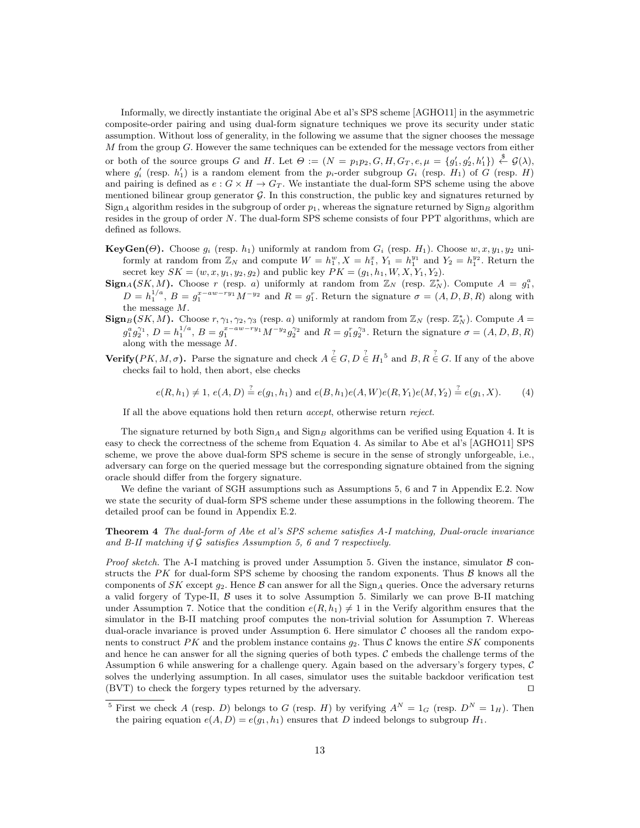Informally, we directly instantiate the original Abe et al's SPS scheme [AGHO11] in the asymmetric composite-order pairing and using dual-form signature techniques we prove its security under static assumption. Without loss of generality, in the following we assume that the signer chooses the message M from the group G. However the same techniques can be extended for the message vectors from either or both of the source groups G and H. Let  $\Theta := (N = p_1p_2, G, H, G_T, e, \mu = \{g'_1, g'_2, h'_1\}) \stackrel{\$}{\leftarrow} \mathcal{G}(\lambda),$ where  $g'_{i}$  (resp.  $h'_{1}$ ) is a random element from the  $p_{i}$ -order subgroup  $G_{i}$  (resp.  $H_{1}$ ) of G (resp. H) and pairing is defined as  $e : G \times H \to G_T$ . We instantiate the dual-form SPS scheme using the above mentioned bilinear group generator  $\mathcal{G}$ . In this construction, the public key and signatures returned by Sign<sub>A</sub> algorithm resides in the subgroup of order  $p_1$ , whereas the signature returned by Sign<sub>B</sub> algorithm resides in the group of order N. The dual-form SPS scheme consists of four PPT algorithms, which are defined as follows.

- **KeyGen(Θ).** Choose  $g_i$  (resp.  $h_1$ ) uniformly at random from  $G_i$  (resp.  $H_1$ ). Choose  $w, x, y_1, y_2$  uniformly at random from  $\mathbb{Z}_N$  and compute  $W = h_1^w, X = h_1^x, Y_1 = h_1^{y_1}$  and  $Y_2 = h_1^{y_2}$ . Return the secret key  $SK = (w, x, y_1, y_2, g_2)$  and public key  $PK = (g_1, h_1, W, X, Y_1, Y_2)$ .
- $\text{Sign}_{A}(SK, M)$ . Choose r (resp. a) uniformly at random from  $\mathbb{Z}_{N}$  (resp.  $\mathbb{Z}_{N}^{*}$ ). Compute  $A = g_{1}^{a}$ ,  $D = h_1^{1/a}, B = g_1^{x-aw-ry_1} M^{-y_2}$  and  $R = g_1^r$ . Return the signature  $\sigma = (A, D, B, R)$  along with the message M.
- $\textbf{Sign}_{B}(SK, M)$ . Choose  $r, \gamma_1, \gamma_2, \gamma_3$  (resp. a) uniformly at random from  $\mathbb{Z}_N$  (resp.  $\mathbb{Z}_N^*$ ). Compute  $A =$  $g_1^a g_2^{\gamma_1}, D = h_1^{1/a}, B = g_1^{x-aw-ry_1} M^{-y_2} g_2^{\gamma_2}$  and  $R = g_1^r g_2^{\gamma_3}$ . Return the signature  $\sigma = (A, D, B, R)$ along with the message M.
- **Verify**( $PK, M, \sigma$ ). Parse the signature and check  $A \in G, D \in H_1^5$  and  $B, R \in G$ . If any of the above checks fail to hold, then abort, else checks

$$
e(R, h_1) \neq 1, e(A, D) \stackrel{?}{=} e(g_1, h_1) \text{ and } e(B, h_1)e(A, W)e(R, Y_1)e(M, Y_2) \stackrel{?}{=} e(g_1, X). \tag{4}
$$

If all the above equations hold then return accept, otherwise return reject.

The signature returned by both  $\text{Sign}_A$  and  $\text{Sign}_B$  algorithms can be verified using Equation 4. It is easy to check the correctness of the scheme from Equation 4. As similar to Abe et al's [AGHO11] SPS scheme, we prove the above dual-form SPS scheme is secure in the sense of strongly unforgeable, i.e., adversary can forge on the queried message but the corresponding signature obtained from the signing oracle should differ from the forgery signature.

We define the variant of SGH assumptions such as Assumptions 5, 6 and 7 in Appendix E.2. Now we state the security of dual-form SPS scheme under these assumptions in the following theorem. The detailed proof can be found in Appendix E.2.

Theorem 4 The dual-form of Abe et al's SPS scheme satisfies A-I matching, Dual-oracle invariance and B-II matching if  $\mathcal G$  satisfies Assumption 5, 6 and 7 respectively.

*Proof sketch.* The A-I matching is proved under Assumption 5. Given the instance, simulator  $\beta$  constructs the PK for dual-form SPS scheme by choosing the random exponents. Thus  $\beta$  knows all the components of SK except  $g_2$ . Hence B can answer for all the Sign<sub>A</sub> queries. Once the adversary returns a valid forgery of Type-II,  $\beta$  uses it to solve Assumption 5. Similarly we can prove B-II matching under Assumption 7. Notice that the condition  $e(R, h_1) \neq 1$  in the Verify algorithm ensures that the simulator in the B-II matching proof computes the non-trivial solution for Assumption 7. Whereas dual-oracle invariance is proved under Assumption 6. Here simulator  $\mathcal C$  chooses all the random exponents to construct PK and the problem instance contains  $g_2$ . Thus C knows the entire SK components and hence he can answer for all the signing queries of both types. C embeds the challenge terms of the Assumption 6 while answering for a challenge query. Again based on the adversary's forgery types, C solves the underlying assumption. In all cases, simulator uses the suitable backdoor verification test (BVT) to check the forgery types returned by the adversary.  $\square$ 

<sup>&</sup>lt;sup>5</sup> First we check A (resp. D) belongs to G (resp. H) by verifying  $A^N = 1_G$  (resp.  $D^N = 1_H$ ). Then the pairing equation  $e(A, D) = e(g_1, h_1)$  ensures that D indeed belongs to subgroup  $H_1$ .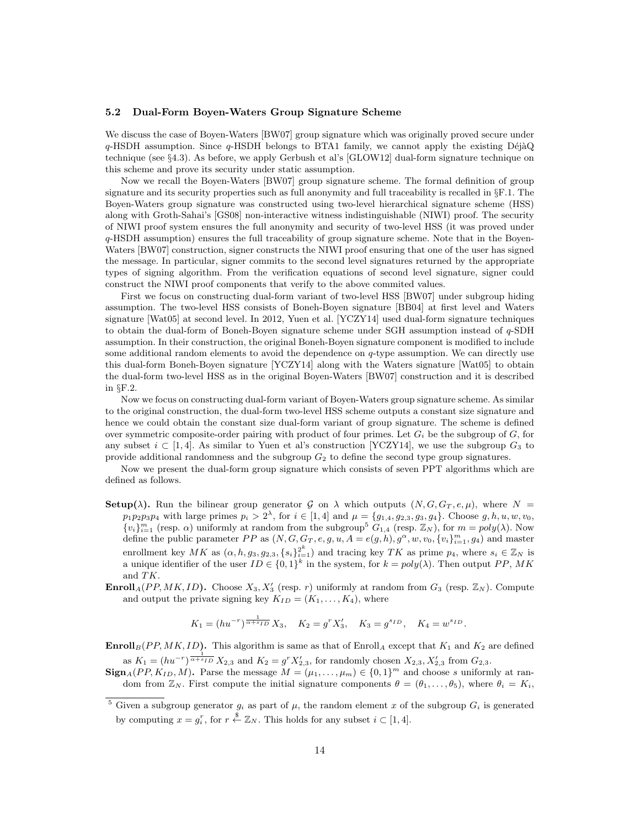#### 5.2 Dual-Form Boyen-Waters Group Signature Scheme

We discuss the case of Boyen-Waters [BW07] group signature which was originally proved secure under  $q$ -HSDH assumption. Since  $q$ -HSDH belongs to BTA1 family, we cannot apply the existing DéjàQ technique (see §4.3). As before, we apply Gerbush et al's [GLOW12] dual-form signature technique on this scheme and prove its security under static assumption.

Now we recall the Boyen-Waters [BW07] group signature scheme. The formal definition of group signature and its security properties such as full anonymity and full traceability is recalled in §F.1. The Boyen-Waters group signature was constructed using two-level hierarchical signature scheme (HSS) along with Groth-Sahai's [GS08] non-interactive witness indistinguishable (NIWI) proof. The security of NIWI proof system ensures the full anonymity and security of two-level HSS (it was proved under q-HSDH assumption) ensures the full traceability of group signature scheme. Note that in the Boyen-Waters [BW07] construction, signer constructs the NIWI proof ensuring that one of the user has signed the message. In particular, signer commits to the second level signatures returned by the appropriate types of signing algorithm. From the verification equations of second level signature, signer could construct the NIWI proof components that verify to the above commited values.

First we focus on constructing dual-form variant of two-level HSS [BW07] under subgroup hiding assumption. The two-level HSS consists of Boneh-Boyen signature [BB04] at first level and Waters signature [Wat05] at second level. In 2012, Yuen et al. [YCZY14] used dual-form signature techniques to obtain the dual-form of Boneh-Boyen signature scheme under SGH assumption instead of q-SDH assumption. In their construction, the original Boneh-Boyen signature component is modified to include some additional random elements to avoid the dependence on q-type assumption. We can directly use this dual-form Boneh-Boyen signature [YCZY14] along with the Waters signature [Wat05] to obtain the dual-form two-level HSS as in the original Boyen-Waters [BW07] construction and it is described in §F.2.

Now we focus on constructing dual-form variant of Boyen-Waters group signature scheme. As similar to the original construction, the dual-form two-level HSS scheme outputs a constant size signature and hence we could obtain the constant size dual-form variant of group signature. The scheme is defined over symmetric composite-order pairing with product of four primes. Let  $G_i$  be the subgroup of  $G$ , for any subset  $i \subset [1, 4]$ . As similar to Yuen et al's construction [YCZY14], we use the subgroup  $G_3$  to provide additional randomness and the subgroup  $G_2$  to define the second type group signatures.

Now we present the dual-form group signature which consists of seven PPT algorithms which are defined as follows.

- **Setup(** $\lambda$ ). Run the bilinear group generator G on  $\lambda$  which outputs  $(N, G, G_T, e, \mu)$ , where  $N =$  $p_1p_2p_3p_4$  with large primes  $p_i > 2^{\lambda}$ , for  $i \in [1, 4]$  and  $\mu = \{g_{1,4}, g_{2,3}, g_3, g_4\}$ . Choose  $g, h, u, w, v_0$ ,  $\{v_i\}_{i=1}^m$  (resp.  $\alpha$ ) uniformly at random from the subgroup<sup>5</sup>  $G_{1,4}$  (resp.  $\mathbb{Z}_N$ ), for  $m = poly(\lambda)$ . Now define the public parameter PP as  $(N, G, G_T, e, g, u, A = e(g, h), g^{\alpha}, w, v_0, \{v_i\}_{i=1}^m, g_4)$  and master enrollment key  $MK$  as  $(\alpha, h, g_3, g_{2,3}, \{s_i\}_{i=1}^{2^k})$  and tracing key  $TK$  as prime  $p_4$ , where  $s_i \in \mathbb{Z}_N$  is a unique identifier of the user  $ID \in \{0,1\}^k$  in the system, for  $k = poly(\lambda)$ . Then output PP, MK and TK.
- **Enroll**<sub>A</sub>(PP, MK, ID). Choose  $X_3, X_3'$  (resp. r) uniformly at random from  $G_3$  (resp.  $\mathbb{Z}_N$ ). Compute and output the private signing key  $K_{ID} = (K_1, \ldots, K_4)$ , where

$$
K_1 = (hu^{-r})^{\frac{1}{\alpha + s_{ID}}} X_3
$$
,  $K_2 = g^r X'_3$ ,  $K_3 = g^{s_{ID}}$ ,  $K_4 = w^{s_{ID}}$ .

**Enroll**<sub>B</sub>(PP, MK, ID). This algorithm is same as that of Enroll<sub>A</sub> except that  $K_1$  and  $K_2$  are defined as  $K_1 = (hu^{-r})^{\frac{1}{\alpha + s_{ID}}} X_{2,3}$  and  $K_2 = g^r X'_{2,3}$ , for randomly chosen  $X_{2,3}, X'_{2,3}$  from  $G_{2,3}$ .

 $\text{Sign}_A(PP, K_{ID}, M)$ . Parse the message  $M = (\mu_1, \dots, \mu_m) \in \{0, 1\}^m$  and choose s uniformly at random from  $\mathbb{Z}_N$ . First compute the initial signature components  $\theta = (\theta_1, \ldots, \theta_5)$ , where  $\theta_i = K_i$ ,

<sup>&</sup>lt;sup>5</sup> Given a subgroup generator  $g_i$  as part of  $\mu$ , the random element x of the subgroup  $G_i$  is generated by computing  $x = g_i^r$ , for  $r \stackrel{\$}{\leftarrow} \mathbb{Z}_N$ . This holds for any subset  $i \in [1, 4]$ .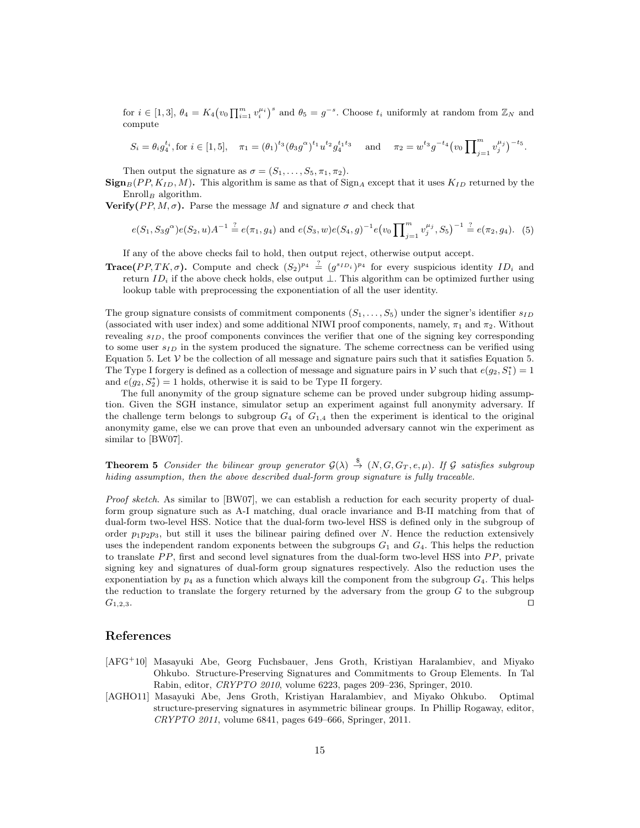for  $i \in [1,3], \theta_4 = K_4 \big(v_0 \prod_{i=1}^m v_i^{\mu_i}\big)^s$  and  $\theta_5 = g^{-s}$ . Choose  $t_i$  uniformly at random from  $\mathbb{Z}_N$  and compute

$$
S_i = \theta_i g_4^{t_i}, \text{for } i \in [1, 5], \quad \pi_1 = (\theta_1)^{t_3} (\theta_3 g^\alpha)^{t_1} u^{t_2} g_4^{t_1 t_3} \quad \text{and} \quad \pi_2 = w^{t_3} g^{-t_4} (v_0 \prod_{j=1}^m v_j^{\mu_j})^{-t_5}.
$$

Then output the signature as  $\sigma = (S_1, \ldots, S_5, \pi_1, \pi_2)$ .

 $\textbf{Sign}_{B}(PP, K_{ID}, M)$ . This algorithm is same as that of  $\text{Sign}_{A}$  except that it uses  $K_{ID}$  returned by the  $\text{Enroll}_B$  algorithm.

**Verify**( $PP, M, σ$ ). Parse the message M and signature σ and check that

$$
e(S_1, S_3 g^{\alpha})e(S_2, u)A^{-1} \stackrel{?}{=} e(\pi_1, g_4) \text{ and } e(S_3, w)e(S_4, g)^{-1}e(v_0 \prod_{j=1}^m v_j^{\mu_j}, S_5)^{-1} \stackrel{?}{=} e(\pi_2, g_4). \tag{5}
$$

If any of the above checks fail to hold, then output reject, otherwise output accept.

**Trace**(PP, TK,  $\sigma$ ). Compute and check  $(S_2)^{p_4} \stackrel{?}{=} (g^{s_{ID_i}})^{p_4}$  for every suspicious identity  $ID_i$  and return ID<sub>i</sub> if the above check holds, else output  $\perp$ . This algorithm can be optimized further using lookup table with preprocessing the exponentiation of all the user identity.

The group signature consists of commitment components  $(S_1, \ldots, S_5)$  under the signer's identifier  $s_{ID}$ (associated with user index) and some additional NIWI proof components, namely,  $\pi_1$  and  $\pi_2$ . Without revealing  $s_{ID}$ , the proof components convinces the verifier that one of the signing key corresponding to some user  $s_{ID}$  in the system produced the signature. The scheme correctness can be verified using Equation 5. Let  $\mathcal V$  be the collection of all message and signature pairs such that it satisfies Equation 5. The Type I forgery is defined as a collection of message and signature pairs in V such that  $e(g_2, S_1^*) = 1$ and  $e(g_2, S_2^*) = 1$  holds, otherwise it is said to be Type II forgery.

The full anonymity of the group signature scheme can be proved under subgroup hiding assumption. Given the SGH instance, simulator setup an experiment against full anonymity adversary. If the challenge term belongs to subgroup  $G_4$  of  $G_{1,4}$  then the experiment is identical to the original anonymity game, else we can prove that even an unbounded adversary cannot win the experiment as similar to [BW07].

**Theorem 5** Consider the bilinear group generator  $\mathcal{G}(\lambda) \stackrel{\$}{\rightarrow} (N, G, G_T, e, \mu)$ . If G satisfies subgroup hiding assumption, then the above described dual-form group signature is fully traceable.

Proof sketch. As similar to [BW07], we can establish a reduction for each security property of dualform group signature such as A-I matching, dual oracle invariance and B-II matching from that of dual-form two-level HSS. Notice that the dual-form two-level HSS is defined only in the subgroup of order  $p_1p_2p_3$ , but still it uses the bilinear pairing defined over N. Hence the reduction extensively uses the independent random exponents between the subgroups  $G_1$  and  $G_4$ . This helps the reduction to translate  $PP$ , first and second level signatures from the dual-form two-level HSS into  $PP$ , private signing key and signatures of dual-form group signatures respectively. Also the reduction uses the exponentiation by  $p_4$  as a function which always kill the component from the subgroup  $G_4$ . This helps the reduction to translate the forgery returned by the adversary from the group  $G$  to the subgroup  $G_{1,2,3}$ .

### References

- [AFG<sup>+</sup>10] Masayuki Abe, Georg Fuchsbauer, Jens Groth, Kristiyan Haralambiev, and Miyako Ohkubo. Structure-Preserving Signatures and Commitments to Group Elements. In Tal Rabin, editor, CRYPTO 2010, volume 6223, pages 209–236, Springer, 2010.
- [AGHO11] Masayuki Abe, Jens Groth, Kristiyan Haralambiev, and Miyako Ohkubo. Optimal structure-preserving signatures in asymmetric bilinear groups. In Phillip Rogaway, editor, CRYPTO 2011, volume 6841, pages 649–666, Springer, 2011.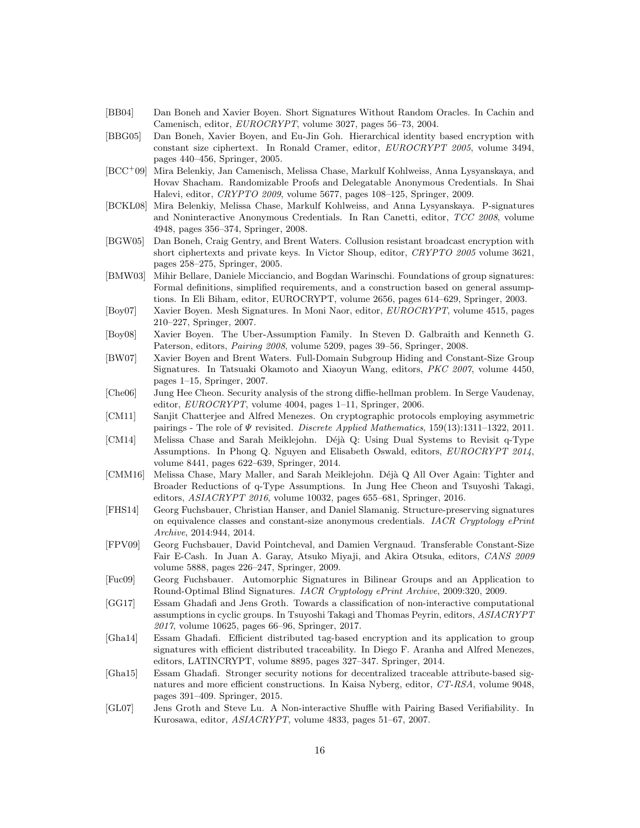- [BB04] Dan Boneh and Xavier Boyen. Short Signatures Without Random Oracles. In Cachin and Camenisch, editor, EUROCRYPT, volume 3027, pages 56–73, 2004.
- [BBG05] Dan Boneh, Xavier Boyen, and Eu-Jin Goh. Hierarchical identity based encryption with constant size ciphertext. In Ronald Cramer, editor, EUROCRYPT 2005, volume 3494, pages 440–456, Springer, 2005.
- [BCC<sup>+</sup>09] Mira Belenkiy, Jan Camenisch, Melissa Chase, Markulf Kohlweiss, Anna Lysyanskaya, and Hovav Shacham. Randomizable Proofs and Delegatable Anonymous Credentials. In Shai Halevi, editor, CRYPTO 2009, volume 5677, pages 108–125, Springer, 2009.
- [BCKL08] Mira Belenkiy, Melissa Chase, Markulf Kohlweiss, and Anna Lysyanskaya. P-signatures and Noninteractive Anonymous Credentials. In Ran Canetti, editor, TCC 2008, volume 4948, pages 356–374, Springer, 2008.
- [BGW05] Dan Boneh, Craig Gentry, and Brent Waters. Collusion resistant broadcast encryption with short ciphertexts and private keys. In Victor Shoup, editor, CRYPTO 2005 volume 3621, pages 258–275, Springer, 2005.
- [BMW03] Mihir Bellare, Daniele Micciancio, and Bogdan Warinschi. Foundations of group signatures: Formal definitions, simplified requirements, and a construction based on general assumptions. In Eli Biham, editor, EUROCRYPT, volume 2656, pages 614–629, Springer, 2003.
- [Boy07] Xavier Boyen. Mesh Signatures. In Moni Naor, editor, EUROCRYPT, volume 4515, pages 210–227, Springer, 2007.
- [Boy08] Xavier Boyen. The Uber-Assumption Family. In Steven D. Galbraith and Kenneth G. Paterson, editors, Pairing 2008, volume 5209, pages 39–56, Springer, 2008.
- [BW07] Xavier Boyen and Brent Waters. Full-Domain Subgroup Hiding and Constant-Size Group Signatures. In Tatsuaki Okamoto and Xiaoyun Wang, editors, PKC 2007, volume 4450, pages 1–15, Springer, 2007.
- [Che06] Jung Hee Cheon. Security analysis of the strong diffie-hellman problem. In Serge Vaudenay, editor, EUROCRYPT, volume 4004, pages 1–11, Springer, 2006.
- [CM11] Sanjit Chatterjee and Alfred Menezes. On cryptographic protocols employing asymmetric pairings - The role of  $\Psi$  revisited. Discrete Applied Mathematics, 159(13):1311-1322, 2011.
- [CM14] Melissa Chase and Sarah Meiklejohn. Déjà Q: Using Dual Systems to Revisit q-Type Assumptions. In Phong Q. Nguyen and Elisabeth Oswald, editors, EUROCRYPT 2014, volume 8441, pages 622–639, Springer, 2014.
- [CMM16] Melissa Chase, Mary Maller, and Sarah Meiklejohn. Déjà Q All Over Again: Tighter and Broader Reductions of q-Type Assumptions. In Jung Hee Cheon and Tsuyoshi Takagi, editors, ASIACRYPT 2016, volume 10032, pages 655–681, Springer, 2016.
- [FHS14] Georg Fuchsbauer, Christian Hanser, and Daniel Slamanig. Structure-preserving signatures on equivalence classes and constant-size anonymous credentials. IACR Cryptology ePrint Archive, 2014:944, 2014.
- [FPV09] Georg Fuchsbauer, David Pointcheval, and Damien Vergnaud. Transferable Constant-Size Fair E-Cash. In Juan A. Garay, Atsuko Miyaji, and Akira Otsuka, editors, CANS 2009 volume 5888, pages 226–247, Springer, 2009.
- [Fuc09] Georg Fuchsbauer. Automorphic Signatures in Bilinear Groups and an Application to Round-Optimal Blind Signatures. IACR Cryptology ePrint Archive, 2009:320, 2009.
- [GG17] Essam Ghadafi and Jens Groth. Towards a classification of non-interactive computational assumptions in cyclic groups. In Tsuyoshi Takagi and Thomas Peyrin, editors, ASIACRYPT 2017, volume 10625, pages 66–96, Springer, 2017.
- [Gha14] Essam Ghadafi. Efficient distributed tag-based encryption and its application to group signatures with efficient distributed traceability. In Diego F. Aranha and Alfred Menezes, editors, LATINCRYPT, volume 8895, pages 327–347. Springer, 2014.
- [Gha15] Essam Ghadafi. Stronger security notions for decentralized traceable attribute-based signatures and more efficient constructions. In Kaisa Nyberg, editor, CT-RSA, volume 9048, pages 391–409. Springer, 2015.
- [GL07] Jens Groth and Steve Lu. A Non-interactive Shuffle with Pairing Based Verifiability. In Kurosawa, editor, ASIACRYPT, volume 4833, pages 51–67, 2007.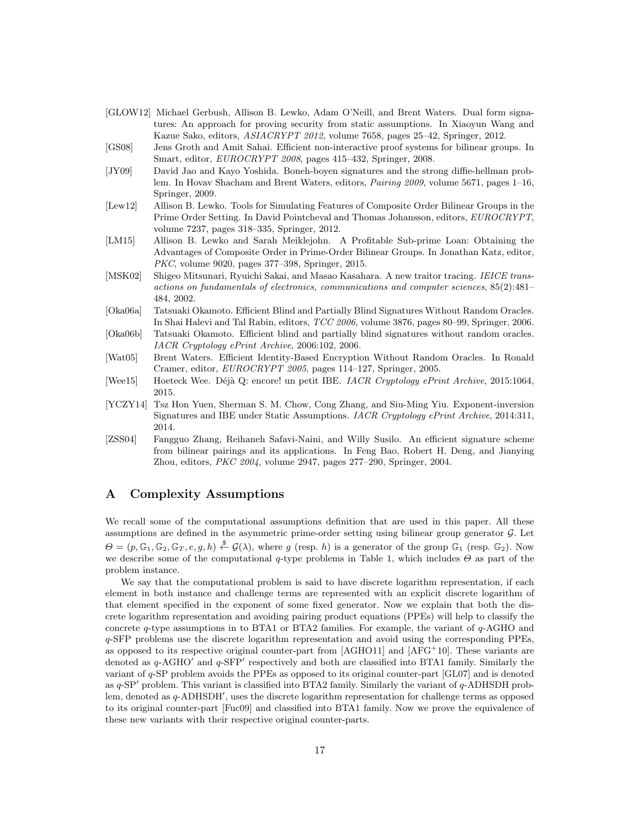- [GLOW12] Michael Gerbush, Allison B. Lewko, Adam O'Neill, and Brent Waters. Dual form signatures: An approach for proving security from static assumptions. In Xiaoyun Wang and Kazue Sako, editors, ASIACRYPT 2012, volume 7658, pages 25–42, Springer, 2012.
- [GS08] Jens Groth and Amit Sahai. Efficient non-interactive proof systems for bilinear groups. In Smart, editor, EUROCRYPT 2008, pages 415-432, Springer, 2008.
- [JY09] David Jao and Kayo Yoshida. Boneh-boyen signatures and the strong diffie-hellman problem. In Hovav Shacham and Brent Waters, editors, *Pairing 2009*, volume 5671, pages 1–16, Springer, 2009.
- [Lew12] Allison B. Lewko. Tools for Simulating Features of Composite Order Bilinear Groups in the Prime Order Setting. In David Pointcheval and Thomas Johansson, editors, EUROCRYPT, volume 7237, pages 318–335, Springer, 2012.
- [LM15] Allison B. Lewko and Sarah Meiklejohn. A Profitable Sub-prime Loan: Obtaining the Advantages of Composite Order in Prime-Order Bilinear Groups. In Jonathan Katz, editor, PKC, volume 9020, pages 377–398, Springer, 2015.
- [MSK02] Shigeo Mitsunari, Ryuichi Sakai, and Masao Kasahara. A new traitor tracing. IEICE transactions on fundamentals of electronics, communications and computer sciences, 85(2):481– 484, 2002.
- [Oka06a] Tatsuaki Okamoto. Efficient Blind and Partially Blind Signatures Without Random Oracles. In Shai Halevi and Tal Rabin, editors, TCC 2006, volume 3876, pages 80–99, Springer, 2006.
- [Oka06b] Tatsuaki Okamoto. Efficient blind and partially blind signatures without random oracles. IACR Cryptology ePrint Archive, 2006:102, 2006.
- [Wat05] Brent Waters. Efficient Identity-Based Encryption Without Random Oracles. In Ronald Cramer, editor, EUROCRYPT 2005, pages 114–127, Springer, 2005.
- [Wee15] Hoeteck Wee. Déjà Q: encore! un petit IBE. *IACR Cryptology ePrint Archive*, 2015:1064, 2015.
- [YCZY14] Tsz Hon Yuen, Sherman S. M. Chow, Cong Zhang, and Siu-Ming Yiu. Exponent-inversion Signatures and IBE under Static Assumptions. IACR Cryptology ePrint Archive, 2014:311, 2014.
- [ZSS04] Fangguo Zhang, Reihaneh Safavi-Naini, and Willy Susilo. An efficient signature scheme from bilinear pairings and its applications. In Feng Bao, Robert H. Deng, and Jianying Zhou, editors, PKC 2004, volume 2947, pages 277–290, Springer, 2004.

# A Complexity Assumptions

We recall some of the computational assumptions definition that are used in this paper. All these assumptions are defined in the asymmetric prime-order setting using bilinear group generator  $\mathcal{G}$ . Let  $\Theta = (p, \mathbb{G}_1, \mathbb{G}_2, \mathbb{G}_T, e, g, h) \stackrel{\$}{\leftarrow} \mathcal{G}(\lambda)$ , where g (resp. h) is a generator of the group  $\mathbb{G}_1$  (resp.  $\mathbb{G}_2$ ). Now we describe some of the computational q-type problems in Table 1, which includes  $\Theta$  as part of the problem instance.

We say that the computational problem is said to have discrete logarithm representation, if each element in both instance and challenge terms are represented with an explicit discrete logarithm of that element specified in the exponent of some fixed generator. Now we explain that both the discrete logarithm representation and avoiding pairing product equations (PPEs) will help to classify the concrete  $q$ -type assumptions in to BTA1 or BTA2 families. For example, the variant of  $q$ -AGHO and q-SFP problems use the discrete logarithm representation and avoid using the corresponding PPEs, as opposed to its respective original counter-part from  $[AGHO11]$  and  $[AFG<sup>+</sup>10]$ . These variants are denoted as  $q$ -AGHO $'$  and  $q$ -SFP $'$  respectively and both are classified into BTA1 family. Similarly the variant of q-SP problem avoids the PPEs as opposed to its original counter-part [GL07] and is denoted as  $q$ -SP<sup> $\prime$ </sup> problem. This variant is classified into BTA2 family. Similarly the variant of  $q$ -ADHSDH problem, denoted as q-ADHSDH', uses the discrete logarithm representation for challenge terms as opposed to its original counter-part [Fuc09] and classified into BTA1 family. Now we prove the equivalence of these new variants with their respective original counter-parts.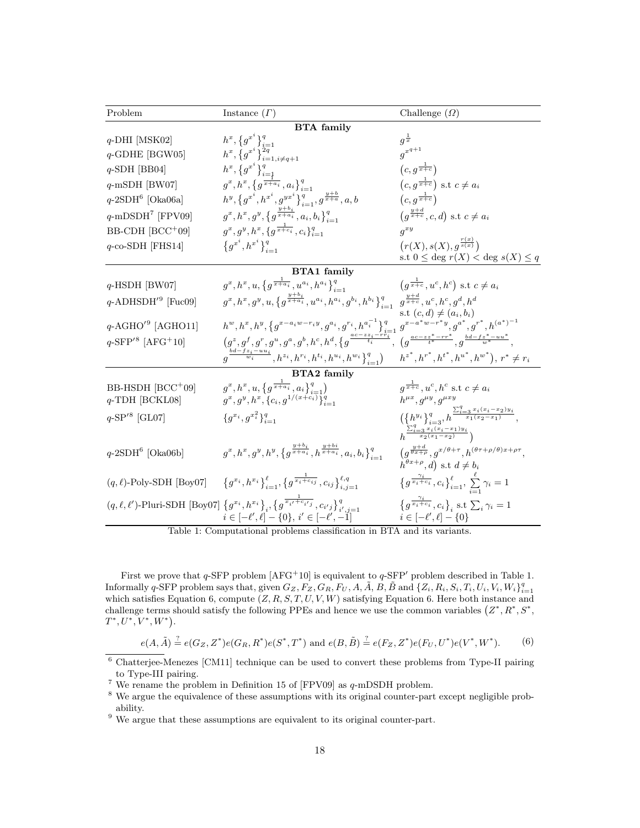| Problem                                                                | Instance $(\Gamma)$                                                                                                                                                                             | Challenge $(\Omega)$                                                                                                                    |
|------------------------------------------------------------------------|-------------------------------------------------------------------------------------------------------------------------------------------------------------------------------------------------|-----------------------------------------------------------------------------------------------------------------------------------------|
| <b>BTA</b> family                                                      |                                                                                                                                                                                                 |                                                                                                                                         |
| $q$ -DHI [MSK02]                                                       |                                                                                                                                                                                                 | $g^{\frac{1}{x}}$                                                                                                                       |
| $q$ -GDHE [BGW05]                                                      |                                                                                                                                                                                                 | $g^{x^{q+1}}$                                                                                                                           |
| $q$ -SDH [BB04]                                                        | $\begin{array}{l} h^x,\big\{ {g^x}^i \big\}_{i=1}^q\\ h^x,\big\{ {g^x}^i \big\}_{i=1,i\ne q+1}^{2q}\\ h^x,\big\{ {g^x}^i \big\}_{i=\frac{1}{2}}^q\\ \end{array}$                                | $(c,g^{\frac{1}{x+c}})$                                                                                                                 |
| $q$ -mSDH [BW07]                                                       | $g^x, h^x, \{g^{\frac{1}{x+a_i}}, a_i\}_{i=1}^q$                                                                                                                                                | $(c, g^{\frac{1}{x+c}})$ s.t $c \neq a_i$                                                                                               |
| $q$ -2SDH <sup>6</sup> [Oka06a]                                        | $\begin{array}{l} h^y, \left\{ g^{x^i}, h^{x^i}, g^{yx^i} \right\}_{i=1}^q, g^{\frac{y+b}{x+a}}, a, b \\ g^x, h^x, g^y, \left\{ g^{\frac{y+b_i}{x+a_i}}, a_i, b_i \right\}_{i=1}^q \end{array}$ | $(c, g^{\frac{1}{x+c}})$                                                                                                                |
| $q$ -mDSDH <sup>7</sup> [FPV09]                                        |                                                                                                                                                                                                 | $(g^{\frac{y+a}{x+c}}, c, d)$ s.t $c \neq a_i$                                                                                          |
| BB-CDH [BCC+09]                                                        | $g^x, g^y, h^x, \{g^{\frac{1}{x+c_i}}, c_i\}_{i=1}^q$                                                                                                                                           | $q^{xy}$                                                                                                                                |
| $q$ -co-SDH [FHS14]                                                    | ${g^{x^i}, h^{x^i}\}_{i=1}^q$                                                                                                                                                                   | $(r(X), s(X), g^{\frac{r(x)}{s(x)}})$                                                                                                   |
|                                                                        |                                                                                                                                                                                                 | s.t $0 \leq$ deg $r(X) <$ deg $s(X) \leq q$                                                                                             |
|                                                                        | <b>BTA1</b> family                                                                                                                                                                              |                                                                                                                                         |
| $q$ -HSDH [BW07]                                                       | $g^x, h^x, u, \{g^{\frac{1}{x+a_i}}, u^{a_i}, h^{a_i}\}_{i=1}^q$                                                                                                                                | $(g^{\frac{1}{x+c}}, u^c, h^c)$ s.t $c \neq a_i$                                                                                        |
| $q$ -ADHSDH' <sup>9</sup> [Fuc09]                                      | $(g^x, h^x, g^y, u, \{g^{\frac{y+o_i}{x+a_i}}, u^{a_i}, h^{a_i}, g^{b_i}, h^{b_i}\}_{i=1}^q, g^{\frac{y+d}{x+c}}, u^c, h^c, g^d, h^d)$                                                          |                                                                                                                                         |
| $q$ -AGHO <sup><math>\prime</math>9</sup> [AGHO11]                     | $h^{w}, h^{x}, h^{y}, \big\{ g^{x-a_iw-r_iy}, g^{a_i}, g^{r_i}, h^{a_i^{-1}} \big\}_{i=1}^q\ g^{x-a^*w-r^*y}, g^{a^*}, g^{r^*}, h^{(a^*)^{-1}}$                                                 | s.t $(c,d) \neq (a_i,b_i)$                                                                                                              |
| $q$ -SFP <sup><math>\prime</math>8</sup> [AFG <sup>+</sup> 10]         | $(g^z, g^f, g^r, g^u, g^a, g^b, h^c, h^d, \{g^{\frac{ac - zz_i - rr_i^2}{t_i}} , (g^{\frac{ac - zz^* - rr^*}{t^*}} , g^{\frac{bd - fz^* - uu^*}{w^*}} ,$                                        |                                                                                                                                         |
|                                                                        | $\left( \frac{b_{d-fz_i - uu_i}}{w_i}, h^{z_i}, h^{r_i}, h^{t_i}, h^{u_i}, h^{w_i} \right)_{i=1}^q \right)$ $h^{z^*}, h^{r^*}, h^{t^*}, h^{u^*}, h^{w^*} \right), r^* \neq r_i$                 |                                                                                                                                         |
| <b>BTA2</b> family                                                     |                                                                                                                                                                                                 |                                                                                                                                         |
| BB-HSDH [BCC+09]<br>$q$ -TDH [BCKL08]                                  | $(g^x, h^x, u, \{g^{\frac{1}{x+a_i}}, a_i\}_{i=1}^q)$<br>$g^x, g^y, h^x, \{c_i, g^{1/(x+c_i)}\}_{i=1}^q$                                                                                        | $q^{\frac{1}{x+c}}$ , $u^c$ , $h^c$ s.t $c \neq a_i$<br>$h^{\mu x}, g^{\mu y}, g^{\mu x y}$                                             |
| $q$ -SP <sup><math>/8</math></sup> [GL07]                              | ${g^{x_i}, g^{x_i^2}\}_{i=1}^q$                                                                                                                                                                 | $\{\{h^{y_i}\}_{i=3}^q, h^{\frac{\sum_{i=3}^q x_i(x_i-x_2)y_i}{x_1(x_2-x_1)}},$                                                         |
|                                                                        |                                                                                                                                                                                                 | $h^{\frac{\sum_{i=3}^{q} x_i(x_i-x_1)y_i}{x_2(x_1-x_2)}}$                                                                               |
| $q$ -2SDH <sup>6</sup> [Oka06b]                                        | $g^x, h^x, g^y, h^y, \{g^{\frac{y+u_i}{x+a_i}}, h^{\frac{y+bi}{x+a_i}}, a_i, b_i\}_{i=1}^q$                                                                                                     | $(g^{\frac{y+d}{\theta x+\rho}}, g^{x/\theta+\tau}, h^{(\theta\tau+\rho/\theta)x+\rho\tau},$<br>$h^{\theta x+\rho}, d$ s.t $d \neq b_i$ |
|                                                                        | $(q, \ell)$ -Poly-SDH [Boy07] $\{g^{x_i}, h^{x_i}\}_{i=1}^{\ell}$ , $\{g^{\frac{1}{x_i+c_{ij}}}, c_{ij}\}_{i=1}^{\ell, q}$                                                                      | $\left\{g^{\frac{\gamma_i}{x_i+c_i}},c_i\right\}_{i=1}^{\ell},\ \sum_{i=1}^{\ell}\gamma_i=1$                                            |
|                                                                        | $(q, \ell, \ell')$ -Pluri-SDH [Boy07] $\{g^{x_i}, h^{x_i}\}_i, \{g^{\frac{1}{x_i + c_{i'j}}}, c_{i'j}\}_{i', j=1}^q$<br>$i \in [-\ell', \ell] - \{0\}, i' \in [-\ell', -1]$                     | $\left\{g^{\frac{\gamma_i}{x_i+c_i}},c_i\right\}_i$ s.t $\sum_i\gamma_i=1$<br>$i \in [-\ell', \ell] - \{0\}$                            |
| Toble 1: Computational problems elassification in RTA and its variants |                                                                                                                                                                                                 |                                                                                                                                         |

Table 1: Computational problems classification in BTA and its variants.

First we prove that  $q$ -SFP problem  $[AFG^+10]$  is equivalent to  $q$ -SFP' problem described in Table 1. Informally q-SFP problem says that, given  $G_Z, F_Z, G_R, F_U, A, \tilde{A}, B, \tilde{B}$  and  $\{Z_i, R_i, S_i, T_i, U_i, V_i, W_i\}_{i=1}^q$ which satisfies Equation 6, compute  $(Z, R, S, T, U, V, W)$  satisfying Equation 6. Here both instance and challenge terms should satisfy the following PPEs and hence we use the common variables  $(Z^*, R^*, S^*, S^*)$  $T^*, U^*, V^*, W^*$ ).

$$
e(A, \tilde{A}) \stackrel{?}{=} e(G_Z, Z^*) e(G_R, R^*) e(S^*, T^*) \text{ and } e(B, \tilde{B}) \stackrel{?}{=} e(F_Z, Z^*) e(F_U, U^*) e(V^*, W^*).
$$
 (6)

<sup>&</sup>lt;sup>6</sup> Chatterjee-Menezes [CM11] technique can be used to convert these problems from Type-II pairing to Type-III pairing.

<sup>&</sup>lt;sup>7</sup> We rename the problem in Definition 15 of [FPV09] as  $q$ -mDSDH problem.

<sup>&</sup>lt;sup>8</sup> We argue the equivalence of these assumptions with its original counter-part except negligible probability.

<sup>&</sup>lt;sup>9</sup> We argue that these assumptions are equivalent to its original counter-part.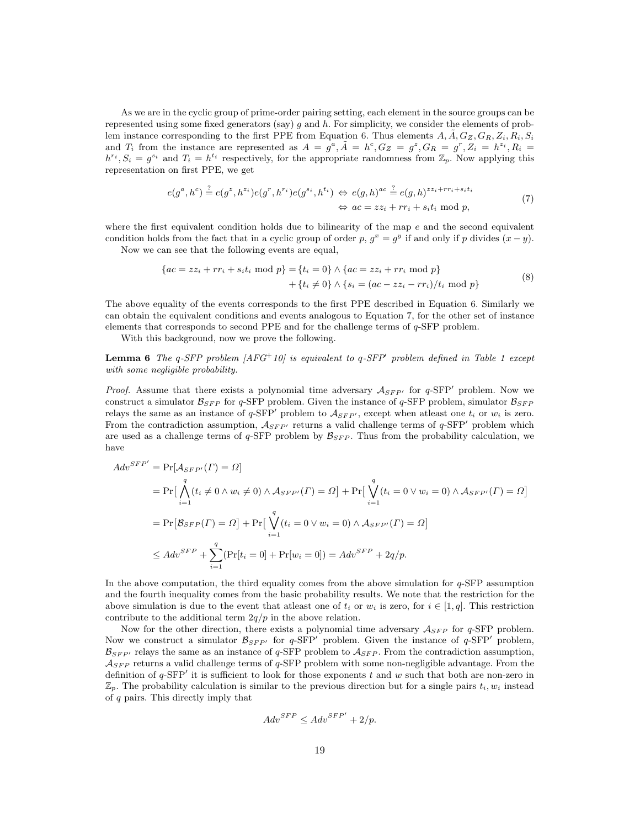As we are in the cyclic group of prime-order pairing setting, each element in the source groups can be represented using some fixed generators (say) q and h. For simplicity, we consider the elements of problem instance corresponding to the first PPE from Equation 6. Thus elements  $A, \tilde{A}, G_Z, G_R, Z_i, R_i, S_i$ and  $T_i$  from the instance are represented as  $A = g^a$ ,  $\tilde{A} = h^c$ ,  $G_Z = g^z$ ,  $G_R = g^r$ ,  $Z_i = h^{z_i}$ ,  $R_i = g^{z_i}$  $h^{r_i}, S_i = g^{s_i}$  and  $T_i = h^{t_i}$  respectively, for the appropriate randomness from  $\mathbb{Z}_p$ . Now applying this representation on first PPE, we get

$$
e(g^a, h^c) \stackrel{?}{=} e(g^z, h^{z_i}) e(g^r, h^{r_i}) e(g^{s_i}, h^{t_i}) \Leftrightarrow e(g, h)^{ac} \stackrel{?}{=} e(g, h)^{zz_i + rr_i + s_i t_i}
$$
  

$$
\Leftrightarrow ac = zz_i + rr_i + s_i t_i \text{ mod } p,
$$
 (7)

where the first equivalent condition holds due to bilinearity of the map  $e$  and the second equivalent condition holds from the fact that in a cyclic group of order p,  $g^x = g^y$  if and only if p divides  $(x - y)$ . Now we can see that the following events are equal,

$$
\{ac = zz_i + rr_i + s_i t_i \text{ mod } p\} = \{t_i = 0\} \land \{ac = zz_i + rr_i \text{ mod } p\} + \{t_i \neq 0\} \land \{s_i = (ac - zz_i - rr_i)/t_i \text{ mod } p\}
$$
(8)

The above equality of the events corresponds to the first PPE described in Equation 6. Similarly we can obtain the equivalent conditions and events analogous to Equation 7, for the other set of instance elements that corresponds to second PPE and for the challenge terms of q-SFP problem.

With this background, now we prove the following.

**Lemma 6** The q-SFP problem  $[AFG^+10]$  is equivalent to q-SFP' problem defined in Table 1 except with some negligible probability.

*Proof.* Assume that there exists a polynomial time adversary  $A_{SFP'}$  for  $q$ -SFP' problem. Now we construct a simulator  $\mathcal{B}_{SFP}$  for q-SFP problem. Given the instance of q-SFP problem, simulator  $\mathcal{B}_{SFP}$ relays the same as an instance of q-SFP' problem to  $A_{SFP'}$ , except when atleast one  $t_i$  or  $w_i$  is zero. From the contradiction assumption,  $A_{SFP'}$  returns a valid challenge terms of q-SFP' problem which are used as a challenge terms of  $q$ -SFP problem by  $\mathcal{B}_{SFP}$ . Thus from the probability calculation, we have

$$
Adv^{SFP'} = \Pr[\mathcal{A}_{SFP'}(\Gamma) = \Omega]
$$
  
\n
$$
= \Pr\left[\bigwedge_{i=1}^{q} (t_i \neq 0 \land w_i \neq 0) \land \mathcal{A}_{SFP'}(\Gamma) = \Omega\right] + \Pr\left[\bigvee_{i=1}^{q} (t_i = 0 \lor w_i = 0) \land \mathcal{A}_{SFP'}(\Gamma) = \Omega\right]
$$
  
\n
$$
= \Pr\left[\mathcal{B}_{SFP}(\Gamma) = \Omega\right] + \Pr\left[\bigvee_{i=1}^{q} (t_i = 0 \lor w_i = 0) \land \mathcal{A}_{SFP'}(\Gamma) = \Omega\right]
$$
  
\n
$$
\leq Adv^{SFP} + \sum_{i=1}^{q} (\Pr[t_i = 0] + \Pr[w_i = 0]) = Adv^{SFP} + 2q/p.
$$

In the above computation, the third equality comes from the above simulation for  $q$ -SFP assumption and the fourth inequality comes from the basic probability results. We note that the restriction for the above simulation is due to the event that at east one of  $t_i$  or  $w_i$  is zero, for  $i \in [1, q]$ . This restriction contribute to the additional term  $2q/p$  in the above relation.

Now for the other direction, there exists a polynomial time adversary  $A_{SFP}$  for q-SFP problem. Now we construct a simulator  $\mathcal{B}_{SFP'}$  for q-SFP' problem. Given the instance of q-SFP' problem,  $\mathcal{B}_{SFP'}$  relays the same as an instance of q-SFP problem to  $\mathcal{A}_{SFP}$ . From the contradiction assumption,  $A_{SFP}$  returns a valid challenge terms of q-SFP problem with some non-negligible advantage. From the definition of  $q$ -SFP' it is sufficient to look for those exponents t and w such that both are non-zero in  $\mathbb{Z}_p$ . The probability calculation is similar to the previous direction but for a single pairs  $t_i, w_i$  instead of q pairs. This directly imply that

$$
Adv^{SFP} \le Adv^{SFP'} + 2/p.
$$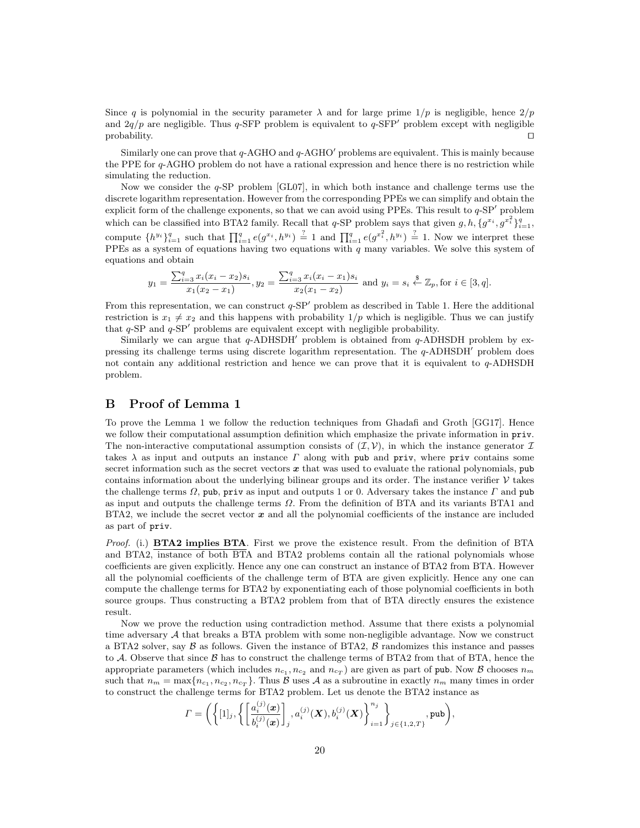Since q is polynomial in the security parameter  $\lambda$  and for large prime  $1/p$  is negligible, hence  $2/p$ and  $2q/p$  are negligible. Thus q-SFP problem is equivalent to q-SFP<sup>'</sup> problem except with negligible  $\Box$ 

Similarly one can prove that  $q$ -AGHO and  $q$ -AGHO<sup>'</sup> problems are equivalent. This is mainly because the PPE for q-AGHO problem do not have a rational expression and hence there is no restriction while simulating the reduction.

Now we consider the  $q$ -SP problem  $\lbrack$ GL07 $\rbrack$ , in which both instance and challenge terms use the discrete logarithm representation. However from the corresponding PPEs we can simplify and obtain the explicit form of the challenge exponents, so that we can avoid using PPEs. This result to  $q$ -SP<sup> $\prime$ </sup> problem which can be classified into BTA2 family. Recall that q-SP problem says that given  $g, h, \{g^{x_i}, g^{x_i^2}\}_{i=1}^q$ , compute  $\{h^{y_i}\}_{i=1}^q$  such that  $\prod_{i=1}^q e(g^{x_i}, h^{y_i}) \stackrel{?}{=} 1$  and  $\prod_{i=1}^q e(g^{x_i^2}, h^{y_i}) \stackrel{?}{=} 1$ . Now we interpret these PPEs as a system of equations having two equations with  $q$  many variables. We solve this system of equations and obtain

$$
y_1 = \frac{\sum_{i=3}^q x_i (x_i - x_2) s_i}{x_1 (x_2 - x_1)}, y_2 = \frac{\sum_{i=3}^q x_i (x_i - x_1) s_i}{x_2 (x_1 - x_2)} \text{ and } y_i = s_i \stackrel{\$}{\leftarrow} \mathbb{Z}_p, \text{ for } i \in [3, q].
$$

From this representation, we can construct  $q$ -SP<sup> $\prime$ </sup> problem as described in Table 1. Here the additional restriction is  $x_1 \neq x_2$  and this happens with probability  $1/p$  which is negligible. Thus we can justify that  $q$ -SP and  $q$ -SP<sup> $\prime$ </sup> problems are equivalent except with negligible probability.

Similarly we can argue that  $q$ -ADHSDH<sup> $\prime$ </sup> problem is obtained from  $q$ -ADHSDH problem by expressing its challenge terms using discrete logarithm representation. The  $q$ -ADHSDH $'$  problem does not contain any additional restriction and hence we can prove that it is equivalent to  $q$ -ADHSDH problem.

# B Proof of Lemma 1

To prove the Lemma 1 we follow the reduction techniques from Ghadafi and Groth [GG17]. Hence we follow their computational assumption definition which emphasize the private information in priv. The non-interactive computational assumption consists of  $(\mathcal{I}, \mathcal{V})$ , in which the instance generator  $\mathcal{I}$ takes  $\lambda$  as input and outputs an instance  $\Gamma$  along with pub and priv, where priv contains some secret information such as the secret vectors  $x$  that was used to evaluate the rational polynomials, pub contains information about the underlying bilinear groups and its order. The instance verifier  $\mathcal V$  takes the challenge terms  $\Omega$ , pub, priv as input and outputs 1 or 0. Adversary takes the instance  $\Gamma$  and pub as input and outputs the challenge terms  $\Omega$ . From the definition of BTA and its variants BTA1 and BTA2, we include the secret vector  $x$  and all the polynomial coefficients of the instance are included as part of priv.

Proof. (i.) **BTA2 implies BTA**. First we prove the existence result. From the definition of BTA and BTA2, instance of both BTA and BTA2 problems contain all the rational polynomials whose coefficients are given explicitly. Hence any one can construct an instance of BTA2 from BTA. However all the polynomial coefficients of the challenge term of BTA are given explicitly. Hence any one can compute the challenge terms for BTA2 by exponentiating each of those polynomial coefficients in both source groups. Thus constructing a BTA2 problem from that of BTA directly ensures the existence result.

Now we prove the reduction using contradiction method. Assume that there exists a polynomial time adversary  $A$  that breaks a BTA problem with some non-negligible advantage. Now we construct a BTA2 solver, say  $\beta$  as follows. Given the instance of BTA2,  $\beta$  randomizes this instance and passes to A. Observe that since  $\beta$  has to construct the challenge terms of BTA2 from that of BTA, hence the appropriate parameters (which includes  $n_{c_1}, n_{c_2}$  and  $n_{c_T}$ ) are given as part of pub. Now B chooses  $n_m$ such that  $n_m = \max\{n_{c_1}, n_{c_2}, n_{c_T}\}\.$  Thus  $\mathcal B$  uses  $\mathcal A$  as a subroutine in exactly  $n_m$  many times in order to construct the challenge terms for BTA2 problem. Let us denote the BTA2 instance as

$$
\varGamma = \bigg( \bigg\{ [1]_j , \bigg\{ \bigg[ \frac{a_i^{(j)}(\bm{x})}{b_i^{(j)}(\bm{x})} \bigg], a_i^{(j)}(\bm{X}), b_i^{(j)}(\bm{X}) \bigg\}_{i=1}^{n_j} \bigg\}_{j \in \{1,2,T\}}, \text{pub} \bigg),
$$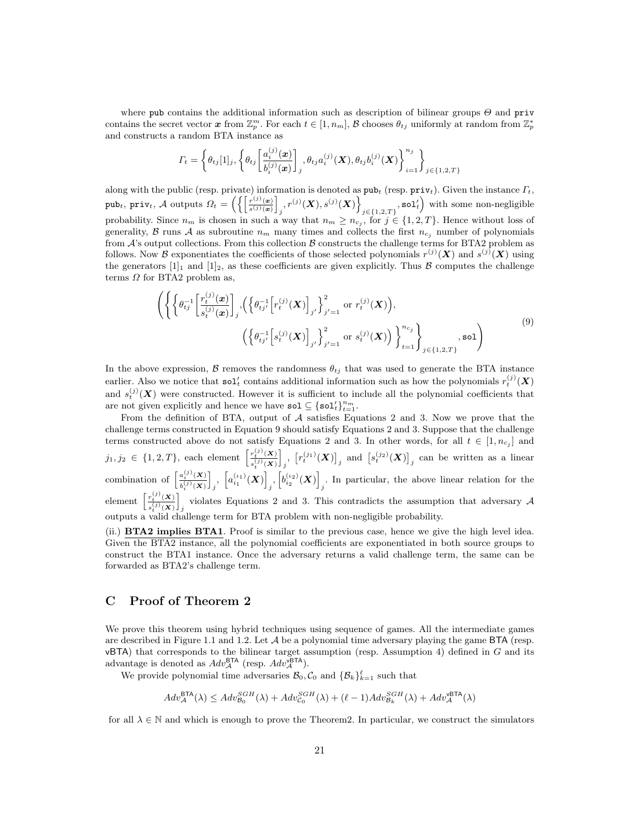where pub contains the additional information such as description of bilinear groups  $\Theta$  and priv contains the secret vector  $\boldsymbol{x}$  from  $\mathbb{Z}_p^m$ . For each  $t \in [1, n_m]$ ,  $\mathcal B$  chooses  $\theta_{tj}$  uniformly at random from  $\mathbb{Z}_p^*$ and constructs a random BTA instance as

$$
\Gamma_t = \left\{ \theta_{tj}[1]_j, \left\{ \theta_{tj} \left[ \frac{a_i^{(j)}(\bm{x})}{b_i^{(j)}(\bm{x})} \right]_j, \theta_{tj} a_i^{(j)}(\bm{X}), \theta_{tj} b_i^{(j)}(\bm{X}) \right\}_{i=1}^{n_j} \right\}_{j \in \{1,2,T\}}
$$

along with the public (resp. private) information is denoted as  $\text{pub}_t$  (resp.  $\text{priv}_t$ ). Given the instance  $\Gamma_t$ , pub<sub>t</sub>, priv<sub>t</sub>, A outputs  $\Omega_t = \left( \left\{ \left[ \frac{r^{(j)}(\bm{x})}{r^{(j)}(\bm{x})} \right] \right\} \right)$  $\frac{r^{(j)}(\boldsymbol{x})}{s^{(j)}(\boldsymbol{x})}$  $\Big\{ \Big\{ \big(x^{\vphantom{y}},\big(x^{\vphantom{y}},\big(x^{\vphantom{y}}\big)^{(j)}(x^{\vphantom{y}})\Big\} \Big\}$  $\left( \mathbf{z}_{j\in\{1,2,T\}}, \mathtt{sol}_t' \right)$  with some non-negligible probability. Since  $n_m$  is chosen in such a way that  $n_m \geq n_{c_j}$ , for  $j \in \{1, 2, T\}$ . Hence without loss of generality, B runs A as subroutine  $n_m$  many times and collects the first  $n_{c_i}$  number of polynomials from  $\mathcal{A}$ 's output collections. From this collection  $\mathcal{B}$  constructs the challenge terms for BTA2 problem as follows. Now B exponentiates the coefficients of those selected polynomials  $r^{(j)}(X)$  and  $s^{(j)}(X)$  using the generators  $[1]_1$  and  $[1]_2$ , as these coefficients are given explicitly. Thus  $\beta$  computes the challenge terms  $\Omega$  for BTA2 problem as,

$$
\left( \left\{ \left\{ \theta_{tj}^{-1} \left[ \frac{r_t^{(j)}(\boldsymbol{x})}{s_t^{(j)}(\boldsymbol{x})} \right]_j, \left( \left\{ \theta_{tj'}^{-1} \left[ r_t^{(j)}(\boldsymbol{X}) \right]_{j'} \right\}_{j'=1}^2 \text{ or } r_t^{(j)}(\boldsymbol{X}) \right), \right\}_{t=1}^n \right\}_{j \in \{1,2,T\}} \right) \tag{9}
$$

In the above expression, B removes the randomness  $\theta_{t_i}$  that was used to generate the BTA instance earlier. Also we notice that  $\text{sol}'_t$  contains additional information such as how the polynomials  $r_t^{(j)}(X)$ and  $s_t^{(j)}(X)$  were constructed. However it is sufficient to include all the polynomial coefficients that are not given explicitly and hence we have  $\text{sol} \subseteq {\text{sol}'_t}_{t=1}^{n_m}$ .

From the definition of BTA, output of  $A$  satisfies Equations 2 and 3. Now we prove that the challenge terms constructed in Equation 9 should satisfy Equations 2 and 3. Suppose that the challenge terms constructed above do not satisfy Equations 2 and 3. In other words, for all  $t \in [1, n_{c_j}]$  and  $j_1, j_2 \in \{1, 2, T\}$ , each element  $\left[\frac{r_t^{(j)}(X)}{(j_1, j_2)}\right]$  $s_t^{(j)}(\bm{X})$ combination of  $\left[\frac{a_i^{(j)}(\mathbf{X})}{a_{i_1}^{(j)}(\mathbf{X})}\right]$ ,  $\left[a_{i_1}^{(i_1)}(\mathbf{X})\right]$ i  $\left[ r_t^{(j_1)}(\boldsymbol{X}) \right]_j$  and  $\left[ s_t^{(j_2)}(\boldsymbol{X}) \right]_j$  can be written as a linear  $b^{(j)}_i(\pmb{X})$ i  $_{j},\;\left[ a_{i_{1}}^{\left( \iota_{1}\right) }\left( \boldsymbol{X}\right) \right]$  $\left[b_{i_2}^{(\iota_2)}(\bm{X})\right]$ . In particular, the above linear relation for the  $j$ element  $\frac{r_t^{(j)}(\mathbf{X})}{\binom{j}{k}}$  $(j)$  $s_t^{(j)}(\bm{X})$ i violates Equations 2 and 3. This contradicts the assumption that adversary  $\mathcal A$ outputs a valid challenge term for BTA problem with non-negligible probability.

(ii.) BTA2 implies BTA1. Proof is similar to the previous case, hence we give the high level idea. Given the BTA2 instance, all the polynomial coefficients are exponentiated in both source groups to construct the BTA1 instance. Once the adversary returns a valid challenge term, the same can be forwarded as BTA2's challenge term.

# C Proof of Theorem 2

We prove this theorem using hybrid techniques using sequence of games. All the intermediate games are described in Figure 1.1 and 1.2. Let  $A$  be a polynomial time adversary playing the game BTA (resp.  $vBTA$ ) that corresponds to the bilinear target assumption (resp. Assumption 4) defined in  $G$  and its advantage is denoted as  $Adv_{\mathcal{A}}^{\text{BTA}}$  (resp.  $Adv_{\mathcal{A}}^{\text{vBTA}}$ ).

We provide polynomial time adversaries  $\mathcal{B}_0$ ,  $\mathcal{C}_0$  and  $\{\mathcal{B}_k\}_{k=1}^{\ell}$  such that

$$
Adv_{\mathcal{A}}^{BTA}(\lambda) \leq Adv_{\mathcal{B}_0}^{SGH}(\lambda) + Adv_{\mathcal{C}_0}^{SGH}(\lambda) + (\ell-1)Adv_{\mathcal{B}_k}^{SGH}(\lambda) + Adv_{\mathcal{A}}^{\text{vBTA}}(\lambda)
$$

for all  $\lambda \in \mathbb{N}$  and which is enough to prove the Theorem2. In particular, we construct the simulators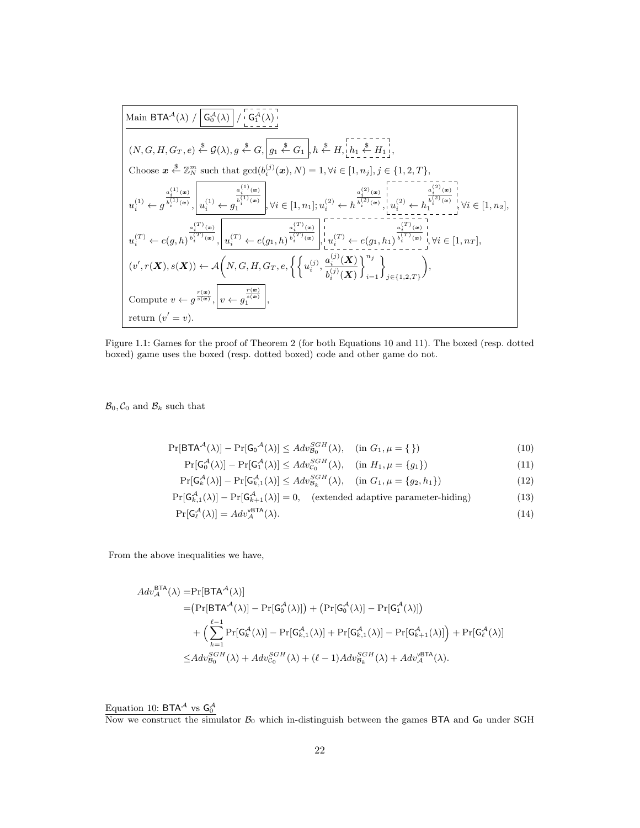$$
\boxed{\text{Main BTA}^{\mathcal{A}}(\lambda) / \boxed{G_0^{\mathcal{A}}(\lambda)} / \boxed{G_1^{\mathcal{A}}(\lambda)}}_{\text{(N, G, H, G_T, e) \overset{\$}}{\leftarrow} \mathcal{G}(\lambda), g \overset{\$}{\leftarrow} G, \boxed{g_1 \overset{\$}{\leftarrow} G_1}, h \overset{\$}{\leftarrow} H, \boxed{h_1 \overset{\$}{\leftarrow} H_1 \overset{\$}{\leftarrow} H_1 \overset{\$}{\leftarrow}; \\ h_2 \overset{\$}{\leftarrow} H_1 \overset{\$}{\leftarrow}; \\ \text{Choose } x \overset{\$}{\leftarrow} \mathbb{Z}_N^m \text{ such that } \gcd(b_i^{(j)}(x), N) = 1, \forall i \in [1, n_j], j \in \{1, 2, T\}, \\ \frac{a_i^{(1)}(x)}{a_i^{(1)}(x)}, \boxed{u_i^{(1)} \leftarrow g_i^{(1)}(x)} \right)_{\text{V}} \qquad \frac{a_i^{(2)}(x)}{b_i^{(2)}(x)}, \forall i \in [1, n_1]; u_i^{(2)} \leftarrow h_i^{(2)}(x), \boxed{u_i^{(2)} \leftarrow h_i^{(2)}(x)} \right)_{\text{V}} \forall i \in [1, n_2], \\ u_i^{(T)} \leftarrow e(g, h)^{\frac{a_i^{(T)}(x)}{b_i^{(T)}(x)}}, \boxed{u_i^{(T)} \leftarrow e(g_1, h)^{\frac{a_i^{(T)}(x)}{b_i^{(T)}(x)}}}, \boxed{u_i^{(T)} \leftarrow e(g_1, h_1)} \overset{\$}{\leftarrow} u_i^{(T)}(x), \boxed{u_i^{(T)} \leftarrow [1, n_T], \\ (v', r(X), s(X)) \leftarrow \mathcal{A}\left(N, G, H, G_T, e, \left\{ \left\{ u_i^{(j)}, \frac{a_i^{(j)}(X)}{b_i^{(j)}(X)} \right\}_{i=1}^{n_j} \right\}_{j \in \{1, 2, T\}} \right), \\ \text{Compute } v \leftarrow g^{\frac{r(x)}{s(x)}}, \boxed{v \leftarrow g_i^{(x)}}, \boxed{v \leftarrow g_i^{(x)}}, \boxed{v} \right\}
$$

Figure 1.1: Games for the proof of Theorem 2 (for both Equations 10 and 11). The boxed (resp. dotted boxed) game uses the boxed (resp. dotted boxed) code and other game do not.

 $\mathcal{B}_0, \mathcal{C}_0$  and  $\mathcal{B}_k$  such that

$$
\Pr[\mathsf{BTA}^{\mathcal{A}}(\lambda)] - \Pr[\mathsf{G_0}^{\mathcal{A}}(\lambda)] \leq Adv_{\mathcal{B}_0}^{SGH}(\lambda), \quad (\text{in } G_1, \mu = \{\})
$$
\n<sup>(10)</sup>

$$
\Pr[\mathsf{G}_0^{\mathcal{A}}(\lambda)] - \Pr[\mathsf{G}_1^{\mathcal{A}}(\lambda)] \leq Adv_{\mathcal{C}_0}^{SGH}(\lambda), \quad (\text{in } H_1, \mu = \{g_1\})
$$
\n
$$
(11)
$$

$$
\Pr[G_{k}^{\mathcal{A}}(\lambda)] - \Pr[G_{k,1}^{\mathcal{A}}(\lambda)] \leq Adv_{\mathcal{B}_{k}}^{SGH}(\lambda), \quad (\text{in } G_1, \mu = \{g_2, h_1\})
$$
(12)

$$
\Pr[G_{k,1}^{\mathcal{A}}(\lambda)] - \Pr[G_{k+1}^{\mathcal{A}}(\lambda)] = 0, \quad \text{(extended adaptive parameter-hiding)}\tag{13}
$$
\n
$$
\Pr[\mathcal{A}^{\mathcal{A}}(\lambda)] = A d\omega^{\text{BTA}}(\lambda) \tag{14}
$$

$$
\Pr[\mathsf{G}_{\ell}^{\mathcal{A}}(\lambda)] = Adv_{\mathcal{A}}^{\mathcal{W}^{\mathsf{BTA}}}(\lambda). \tag{14}
$$

From the above inequalities we have,

$$
Adv_{\mathcal{A}}^{\text{BTA}}(\lambda) = \Pr[\text{BTA}^{\mathcal{A}}(\lambda)]
$$
  
\n
$$
= (\Pr[\text{BTA}^{\mathcal{A}}(\lambda)] - \Pr[\text{G}_{0}^{\mathcal{A}}(\lambda)]) + (\Pr[\text{G}_{0}^{\mathcal{A}}(\lambda)] - \Pr[\text{G}_{1}^{\mathcal{A}}(\lambda)])
$$
  
\n
$$
+ \left(\sum_{k=1}^{\ell-1} \Pr[\text{G}_{k}^{\mathcal{A}}(\lambda)] - \Pr[\text{G}_{k,1}^{\mathcal{A}}(\lambda)] + \Pr[\text{G}_{k,1}^{\mathcal{A}}(\lambda)] - \Pr[\text{G}_{k+1}^{\mathcal{A}}(\lambda)]\right) + \Pr[\text{G}_{\ell}^{\mathcal{A}}(\lambda)]
$$
  
\n
$$
\leq Adv_{B_{0}}^{SGH}(\lambda) + Adv_{C_{0}}^{SGH}(\lambda) + (\ell-1)Adv_{B_{k}}^{SGH}(\lambda) + Adv_{\mathcal{A}}^{\text{WETA}}(\lambda).
$$

Equation 10: BTA<sup>A</sup> vs  $G_0^A$ <br>Now we construct the simulator  $B_0$  which in-distinguish between the games BTA and  $G_0$  under SGH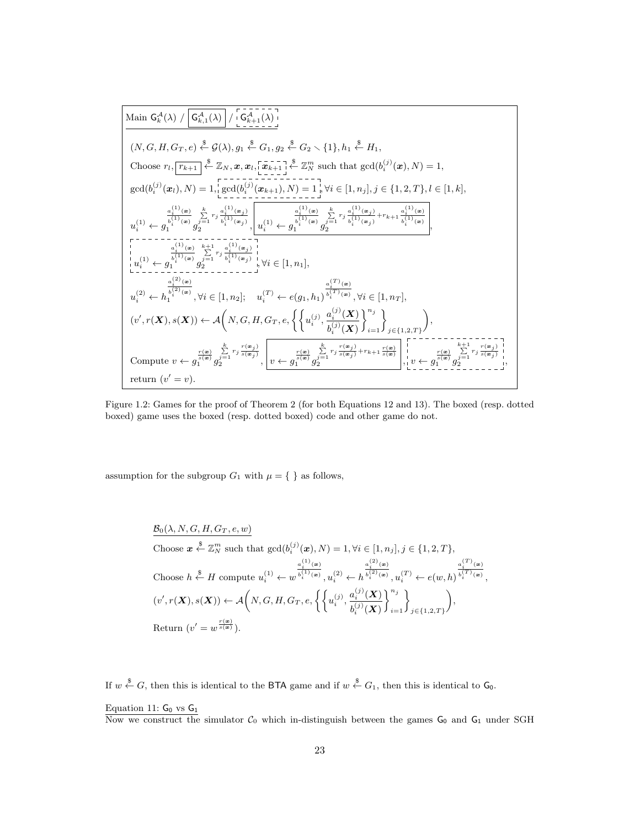$$
\begin{array}{lllllllll} \text{Main } {\sf G}_{k}^{\mathcal{A}}(\lambda) \big/ \left. \frac{{\sf G}_{k,1}^{\mathcal{A}}(\lambda)} \right/ \left. \frac{{\sf G}_{k+1}^{\mathcal{A}}(\lambda)} \right.\\ \left. \left. \frac{{\sf G}_{k,1}^{\mathcal{A}}(\lambda)} \right/ \left. \frac{{\sf G}_{k+1}^{\mathcal{A}}(\lambda)} \right. \right.\\ \left. \left. \frac{{\sf G}_{k,1}^{\mathcal{A}}(\lambda)} \right/ \left. \frac{{\sf G}_{k+1}^{\mathcal{A}}(\lambda)} \right. \right.\\ \left. \left. \frac{{\sf G}_{k,1}^{\mathcal{A}}(\lambda)} \right/ \left. \frac{{\sf G}_{k,1}^{\mathcal{A}}(\lambda)} \right. \right.\\ \left. \left. \frac{{\sf G}_{k,1}^{\mathcal{A}}(\lambda)} \right/ \left. \frac{{\sf G}_{k,1}^{\mathcal{A}}(\lambda)} \right. \right. \left. \frac{{\sf G}_{k,1}^{\mathcal{A}}(\lambda)} \right. \right.\\ \left. \frac{{\sf G}_{k,1}^{\mathcal{A}}(\lambda)} \right/ \left. \left( \frac{{\sf G}_{k,1}^{\mathcal{A}}(\lambda)} \right) \right. \left. \frac{{\sf G}_{k,1}^{\mathcal{A}}(\lambda)} \right. \left. \frac{{\sf G}_{k,1}^{\mathcal{A}}(\lambda)} \right. \left. \frac{{\sf G}_{k,1}^{\mathcal{A}}(\lambda)} \right. \left. \frac{{\sf G}_{k,1}^{\mathcal{A}}(\lambda)} \right. \left. \frac{{\sf G}_{k,1}^{\mathcal{A}}(\lambda)} \right. \left. \frac{{\sf G}_{k,1}^{\mathcal{A}}(\lambda)} \right. \left. \frac{{\sf G}_{k,1}^{\mathcal{A}}(\lambda)} \right. \left. \frac{{\sf G}_{k,1}^{\mathcal{A}}(\lambda)} \right. \left. \frac{{\sf G}_{k,1}^{\mathcal{A}}(\lambda)} \right. \left. \frac{{\sf G}_{k,1}^{\mathcal{A}}(\lambda)} \right. \left. \frac{{\sf G}_{k,1}^{\mathcal{A}}(\lambda)} \right. \left. \frac{{\sf G}_{k,1}^{\mathcal{A}}(\lambda)} \right. \left. \frac{{\sf G}_{k,
$$

Figure 1.2: Games for the proof of Theorem 2 (for both Equations 12 and 13). The boxed (resp. dotted boxed) game uses the boxed (resp. dotted boxed) code and other game do not.

assumption for the subgroup  $G_1$  with  $\mu=\{\ \}$  as follows,

$$
\begin{aligned}\n&\frac{\mathcal{B}_0(\lambda, N, G, H, G_T, e, w)}{\text{Choose } \mathbf{x} \stackrel{\$}{\leftarrow} \mathbb{Z}_N^m \text{ such that } \text{gcd}(b_i^{(j)}(\mathbf{x}), N) = 1, \forall i \in [1, n_j], j \in \{1, 2, T\}, \\
&\frac{a_i^{(1)}(\mathbf{x})}{\leftarrow} \text{Choose } h \stackrel{\$}{\leftarrow} H \text{ compute } u_i^{(1)} \leftarrow w^{\frac{a_i^{(1)}(\mathbf{x})}{b_i^{(1)}(\mathbf{x})}}, u_i^{(2)} \leftarrow h^{\frac{a_i^{(2)}(\mathbf{x})}{b_i^{(2)}(\mathbf{x})}}, u_i^{(T)} \leftarrow e(w, h)^{\frac{a_i^{(T)}(\mathbf{x})}{b_i^{(T)}(\mathbf{x})}}, \\
&\frac{(v', r(\mathbf{X}), s(\mathbf{X})) \leftarrow \mathcal{A}\left(N, G, H, G_T, e, \left\{ \left\{ u_i^{(j)}, \frac{a_i^{(j)}(\mathbf{X})}{b_i^{(j)}(\mathbf{X})} \right\}_{i=1}^{n_j} \right\}_{j \in \{1, 2, T\}}\right), \\
&\text{Return } (v' = w^{\frac{r(\mathbf{x})}{s(\mathbf{x})}}).\n\end{aligned}
$$

If  $w \overset{\$}{\leftarrow} G$ , then this is identical to the BTA game and if  $w \overset{\$}{\leftarrow} G_1$ , then this is identical to  $\mathsf{G}_0$ .

#### Equation 11:  $G_0$  vs  $G_1$

Now we construct the simulator  $C_0$  which in-distinguish between the games  $G_0$  and  $G_1$  under SGH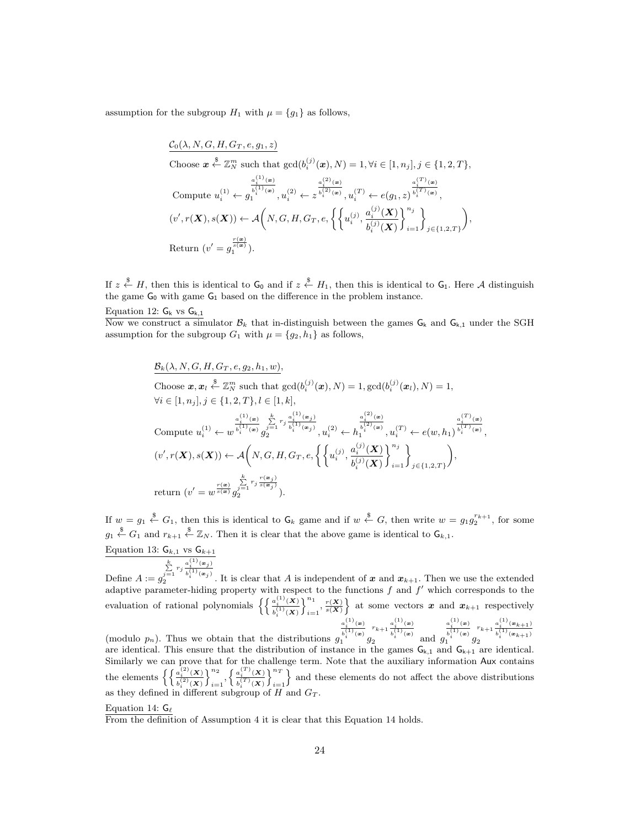assumption for the subgroup  $H_1$  with  $\mu = \{g_1\}$  as follows,

$$
\begin{aligned}\n&\frac{\mathcal{C}_{0}(\lambda, N, G, H, G_{T}, e, g_{1}, z)}{\text{Choose } \mathbf{x} \stackrel{\$}{\leftarrow} \mathbb{Z}_{N}^{m} \text{ such that } \text{gcd}(b_{i}^{(j)}(\mathbf{x}), N) = 1, \forall i \in [1, n_{j}], j \in \{1, 2, T\}, \\
&\text{Compute } u_{i}^{(1)} \leftarrow g_{1}^{\frac{a_{i}^{(1)}(\mathbf{x})}{i}} , u_{i}^{(2)} \leftarrow z^{\frac{a_{i}^{(2)}(\mathbf{x})}{i_{i}^{(2)}(\mathbf{x})}}, u_{i}^{(T)} \leftarrow e(g_{1}, z)^{\frac{a_{i}^{(T)}(\mathbf{x})}{i_{i}^{(T)}(\mathbf{x})}}, \\
&(v', r(\mathbf{X}), s(\mathbf{X})) \leftarrow \mathcal{A}\left(N, G, H, G_{T}, e, \left\{ \left\{ u_{i}^{(j)}, \frac{a_{i}^{(j)}(\mathbf{X})}{b_{i}^{(j)}(\mathbf{X})} \right\}_{i=1}^{n_{j}} \right\}_{j \in \{1, 2, T\}}\right), \\
&\text{Return } (v' = g_{1}^{\frac{r(\mathbf{x})}{s(\mathbf{x})}}).\n\end{aligned}
$$

If  $z \stackrel{\$}{\leftarrow} H$ , then this is identical to  $G_0$  and if  $z \stackrel{\$}{\leftarrow} H_1$ , then this is identical to  $G_1$ . Here A distinguish the game  $G_0$  with game  $G_1$  based on the difference in the problem instance.

Now we construct a simulator  $\mathcal{B}_k$  that in-distinguish between the games  $G_k$  and  $G_{k,1}$  under the SGH assumption for the subgroup  $G_1$  with  $\mu = \{g_2, h_1\}$  as follows,

$$
\begin{aligned} &\underline{\mathcal{B}}_k(\lambda, N, G, H, G_T, e, g_2, h_1, w),\\ &\text{Choose } \pmb{x}, \pmb{x}_i \stackrel{\$}{\leftarrow} \mathbb{Z}_N^m \text{ such that } \gcd(b_i^{(j)}(\pmb{x}), N) = 1, \gcd(b_i^{(j)}(\pmb{x}_l), N) = 1,\\ &\forall i \in [1, n_j], j \in \{1, 2, T\}, l \in [1, k],\\ &\text{Compute } u_i^{(1)} \leftarrow w^{\frac{a_i^{(1)}(\pmb{x})}{b_i^{(1)}(\pmb{x})}} \sum_{j=1}^k r_j^{\frac{a_i^{(1)}(\pmb{x}_j)}{b_i^{(1)}(\pmb{x}_j)}}, u_i^{(2)} \leftarrow h_i^{\frac{a_i^{(2)}(\pmb{x})}{b_i^{(2)}(\pmb{x})}}, u_i^{(T)} \leftarrow e(w, h_1)^{\frac{a_i^{(T)}(\pmb{x})}{b_i^{(T)}(\pmb{x})}},\\ & (v', r(\pmb{X}), s(\pmb{X})) \leftarrow \mathcal{A}\bigg(N, G, H, G_T, e, \left\{\left\{u_i^{(j)}, \frac{a_i^{(j)}(\pmb{X})}{b_i^{(j)}(\pmb{X})}\right\}_{i=1}^{n_j}\right\}_{j \in \{1, 2, T\}}\bigg),\\ & \text{return } (v' = w^{\frac{r(\pmb{x})}{s(\pmb{x})}} \sum_{j=1}^k r_j^{\frac{r(\pmb{x}_j)}{s(\pmb{x}_j)}}). \end{aligned}
$$

If  $w = g_1 \stackrel{\$}{\leftarrow} G_1$ , then this is identical to  $G_k$  game and if  $w \stackrel{\$}{\leftarrow} G$ , then write  $w = g_1 g_2^{r_{k+1}}$ , for some  $g_1 \stackrel{\$}{\leftarrow} G_1$  and  $r_{k+1} \stackrel{\$}{\leftarrow} \mathbb{Z}_N$ . Then it is clear that the above game is identical to  $\mathsf{G}_{k,1}$ .

Equation 13: 
$$
G_{k,1}
$$
 vs  $G_{k+1}$ 

Define  $A := g$  $\sum_{j=1}^k r_j \frac{a_i^{(1)}(\mathbf{x}_j)}{b_i^{(1)}(\mathbf{x}_j)}$  $\sum_{j=1}^{j=1} \binom{j}{j} \binom{n}{j}$ . It is clear that A is independent of x and  $x_{k+1}$ . Then we use the extended adaptive parameter-hiding property with respect to the functions  $f$  and  $f'$  which corresponds to the evaluation of rational polynomials  $\left\{ \left\{ \frac{a_i^{(1)}(\mathbf{X})}{i(1)} \right\} \right\}$  $b^{(1)}_i(\pmb{X})$  $\mathcal{N}^{n_1}$  $\binom{n_1}{i=1}, \frac{r(X)}{s(X)}$  at some vectors  $x$  and  $x_{k+1}$  respectively (modulo  $p_n$ ). Thus we obtain that the distributions g  $a_i^{(1)}(\boldsymbol{x})$  $\frac{b_i^{(1)}(\boldsymbol{x})}{1}$  g  $r_{k+1} \frac{a_i^{(1)}(x)}{i^{(1)}+1}$  $\int_{2}^{\infty} \frac{b_i^{(1)}(x)}{b_i^{(1)}(x)}$  and g  $a_i^{(1)}(\boldsymbol{x})$  $\frac{b_i^{(1)}(\boldsymbol{x})}{1}$  g  $r_{k+1} \frac{a_i^{(1)}(\mathbf{x}_{k+1})}{(1)}$  $\binom{k+1}{k} \frac{b_i^{(1)}(\bm{x}_{k+1})}{b_i^{(1)}(\bm{x}_{k+1})}$ 

are identical. This ensure that the distribution of instance in the games  $G_{k,1}$  and  $G_{k+1}$  are identical. Similarly we can prove that for the challenge term. Note that the auxiliary information Aux contains the elements  $\left\{ \left\{ \frac{a_i^{(2)}(\mathbf{X})}{a_i^{(2)}(\mathbf{X})} \right\} \right\}$  $b^{(2)}_i(\bm{X})$  $\lambda^{n_2}$  $\displaystyle{\frac{n_2}{i=1},\left\{\frac{a_i^{(T)}(\boldsymbol{X})}{b_i^{(T)}(\boldsymbol{X})}\right.}$  $b_i^{(T)}(\bm{X})$  $\int_0^n$  $i=1$ } and these elements do not affect the above distributions as they defined in different subgroup of  $H$  and  $G_T$ .

#### Equation 14:  $G_{\ell}$

From the definition of Assumption 4 it is clear that this Equation 14 holds.

Equation 12:  $\mathsf{G}_\mathsf{k}$  vs  $\mathsf{G}_{\mathsf{k},1}$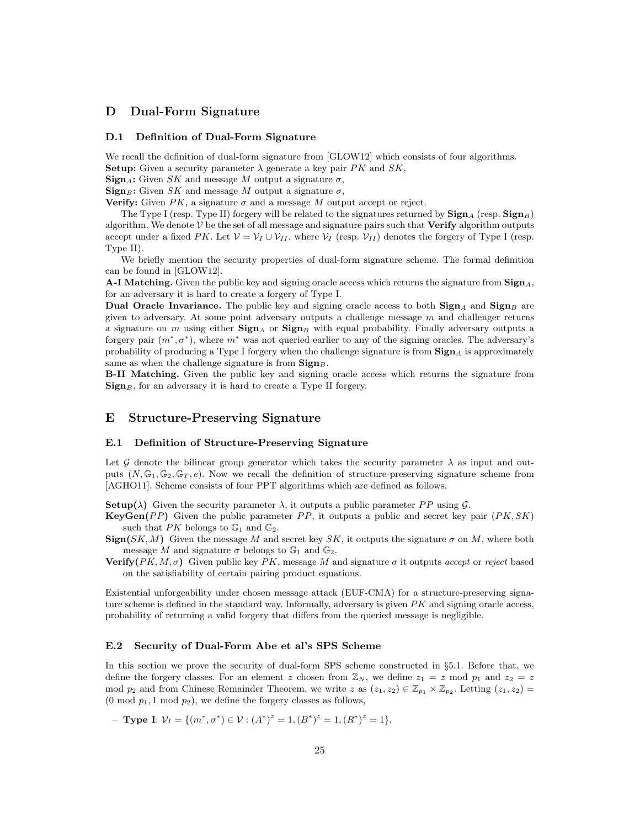## D Dual-Form Signature

### D.1 Definition of Dual-Form Signature

We recall the definition of dual-form signature from [GLOW12] which consists of four algorithms. **Setup:** Given a security parameter  $\lambda$  generate a key pair PK and SK,

 $\operatorname{Sign}_A$ : Given SK and message M output a signature  $\sigma$ ,

 $\mathbf{Sign}_{B}$ : Given SK and message M output a signature  $\sigma$ ,

Verify: Given  $PK$ , a signature  $\sigma$  and a message M output accept or reject.

The Type I (resp. Type II) forgery will be related to the signatures returned by  $\textbf{Sign}_{A}$  (resp.  $\textbf{Sign}_{B}$ ) algorithm. We denote  $V$  be the set of all message and signature pairs such that **Verify** algorithm outputs accept under a fixed PK. Let  $V = V_I \cup V_{II}$ , where  $V_I$  (resp.  $V_{II}$ ) denotes the forgery of Type I (resp. Type II).

We briefly mention the security properties of dual-form signature scheme. The formal definition can be found in [GLOW12].

A-I Matching. Given the public key and signing oracle access which returns the signature from  $\text{Sign}_A$ , for an adversary it is hard to create a forgery of Type I.

Dual Oracle Invariance. The public key and signing oracle access to both  $\text{Sign}_A$  and  $\text{Sign}_B$  are given to adversary. At some point adversary outputs a challenge message  $m$  and challenger returns a signature on m using either  $\text{Sign}_B$  or  $\text{Sign}_B$  with equal probability. Finally adversary outputs a forgery pair  $(m^*, \sigma^*)$ , where  $m^*$  was not queried earlier to any of the signing oracles. The adversary's probability of producing a Type I forgery when the challenge signature is from  $\text{Sign}_{A}$  is approximately same as when the challenge signature is from  $\text{Sign}_{B}$ .

B-II Matching. Given the public key and signing oracle access which returns the signature from  $\mathbf{Sign}_{B}$ , for an adversary it is hard to create a Type II forgery.

## E Structure-Preserving Signature

### E.1 Definition of Structure-Preserving Signature

Let G denote the bilinear group generator which takes the security parameter  $\lambda$  as input and outputs  $(N, \mathbb{G}_1, \mathbb{G}_2, \mathbb{G}_T, e)$ . Now we recall the definition of structure-preserving signature scheme from [AGHO11]. Scheme consists of four PPT algorithms which are defined as follows,

**Setup**( $\lambda$ ) Given the security parameter  $\lambda$ , it outputs a public parameter PP using G.

- **KeyGen**(PP) Given the public parameter PP, it outputs a public and secret key pair  $(PK, SK)$ such that  $PK$  belongs to  $\mathbb{G}_1$  and  $\mathbb{G}_2$ .
- $\operatorname{Sign}(SK, M)$  Given the message M and secret key SK, it outputs the signature  $\sigma$  on M, where both message M and signature  $\sigma$  belongs to  $\mathbb{G}_1$  and  $\mathbb{G}_2$ .
- **Verify**( $PK, M, \sigma$ ) Given public key PK, message M and signature  $\sigma$  it outputs accept or reject based on the satisfiability of certain pairing product equations.

Existential unforgeability under chosen message attack (EUF-CMA) for a structure-preserving signature scheme is defined in the standard way. Informally, adversary is given  $PK$  and signing oracle access, probability of returning a valid forgery that differs from the queried message is negligible.

### E.2 Security of Dual-Form Abe et al's SPS Scheme

In this section we prove the security of dual-form SPS scheme constructed in §5.1. Before that, we define the forgery classes. For an element z chosen from  $\mathbb{Z}_N$ , we define  $z_1 = z$  mod  $p_1$  and  $z_2 = z$ mod  $p_2$  and from Chinese Remainder Theorem, we write z as  $(z_1, z_2) \in \mathbb{Z}_{p_1} \times \mathbb{Z}_{p_2}$ . Letting  $(z_1, z_2) =$  $(0 \mod p_1, 1 \mod p_2)$ , we define the forgery classes as follows,

– **Type Ι**:  $V_I = \{(m^*, \sigma^*) \in V : (A^*)^z = 1, (B^*)^z = 1, (R^*)^z = 1\},\$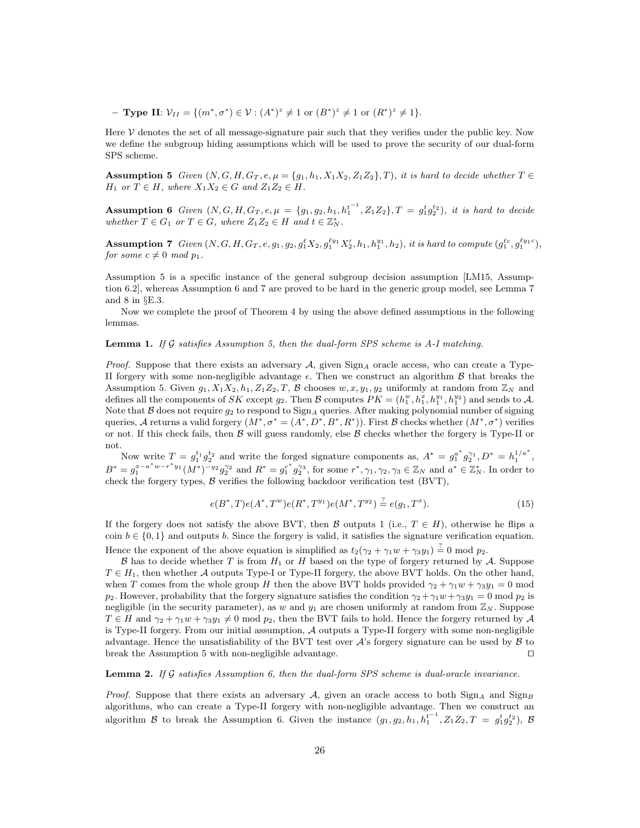− **Type II**:  $V_{II} = \{(m^*, \sigma^*) \in V : (A^*)^z \neq 1 \text{ or } (B^*)^z \neq 1 \text{ or } (R^*)^z \neq 1\}.$ 

Here  $\mathcal V$  denotes the set of all message-signature pair such that they verifies under the public key. Now we define the subgroup hiding assumptions which will be used to prove the security of our dual-form SPS scheme.

**Assumption 5** Given  $(N, G, H, G_T, e, \mu = \{g_1, h_1, X_1X_2, Z_1Z_2\}, T)$ , it is hard to decide whether  $T \in$  $H_1$  or  $T \in H$ , where  $X_1X_2 \in G$  and  $Z_1Z_2 \in H$ .

Assumption 6 Given  $(N, G, H, G_T, e, \mu = \{g_1, g_2, h_1, h_1^{t-1}, Z_1Z_2\}, T = g_1^t g_2^{t_2}$ , it is hard to decide whether  $T \in G_1$  or  $T \in G$ , where  $Z_1 Z_2 \in H$  and  $t \in \mathbb{Z}_N^*$ .

**Assumption 7** Given  $(N, G, H, G_T, e, g_1, g_2, g_1^{\ell} X_2, g_1^{\ell y_1} X_2', h_1, h_1^{y_1}, h_2)$ , it is hard to compute  $(g_1^{\ell c}, g_1^{\ell y_1 c})$ , for some  $c \neq 0 \mod p_1$ .

Assumption 5 is a specific instance of the general subgroup decision assumption [LM15, Assumption 6.2], whereas Assumption 6 and 7 are proved to be hard in the generic group model, see Lemma 7 and 8 in §E.3.

Now we complete the proof of Theorem 4 by using the above defined assumptions in the following lemmas.

#### **Lemma 1.** If  $\mathcal G$  satisfies Assumption 5, then the dual-form SPS scheme is A-I matching.

*Proof.* Suppose that there exists an adversary  $A$ , given  $\text{Sign}_A$  oracle access, who can create a Type-II forgery with some non-negligible advantage  $\epsilon$ . Then we construct an algorithm  $\beta$  that breaks the Assumption 5. Given  $g_1, X_1X_2, h_1, Z_1Z_2, T$ , B chooses  $w, x, y_1, y_2$  uniformly at random from  $\mathbb{Z}_N$  and defines all the components of SK except  $g_2$ . Then B computes  $PK = (h_1^w, h_1^x, h_1^{y_1}, h_1^{y_2})$  and sends to A. Note that B does not require  $q_2$  to respond to  $\text{Sign}_A$  queries. After making polynomial number of signing queries, A returns a valid forgery  $(M^*, \sigma^* = (A^*, D^*, B^*, R^*))$ . First B checks whether  $(M^*, \sigma^*)$  verifies or not. If this check fails, then  $\beta$  will guess randomly, else  $\beta$  checks whether the forgery is Type-II or not.

Now write  $T = g_1^{t_1} g_2^{t_2}$  and write the forged signature components as,  $A^* = g_1^{a^*} g_2^{\gamma_1}, D^* = h_1^{1/a^*}$ ,  $B^* = g_1^{x-a^*w-r^*y_1}(M^*)^{-y_2}g_2^{\gamma_2}$  and  $R^* = g_1^{r^*}g_2^{\gamma_3}$ , for some  $r^*, \gamma_1, \gamma_2, \gamma_3 \in \mathbb{Z}_N$  and  $a^* \in \mathbb{Z}_N^*$ . In order to check the forgery types,  $\beta$  verifies the following backdoor verification test (BVT),

$$
e(B^*, T)e(A^*, T^w)e(R^*, T^{y_1})e(M^*, T^{y_2}) \stackrel{?}{=} e(g_1, T^x).
$$
\n(15)

If the forgery does not satisfy the above BVT, then B outputs 1 (i.e.,  $T \in H$ ), otherwise he flips a coin  $b \in \{0,1\}$  and outputs b. Since the forgery is valid, it satisfies the signature verification equation.

Hence the exponent of the above equation is simplified as  $t_2(\gamma_2 + \gamma_1 w + \gamma_3 y_1) \stackrel{?}{=} 0$  mod  $p_2$ .

B has to decide whether T is from  $H_1$  or H based on the type of forgery returned by A. Suppose  $T \in H_1$ , then whether A outputs Type-I or Type-II forgery, the above BVT holds. On the other hand, when T comes from the whole group H then the above BVT holds provided  $\gamma_2 + \gamma_1 w + \gamma_3 y_1 = 0$  mod  $p_2$ . However, probability that the forgery signature satisfies the condition  $\gamma_2 + \gamma_1 w + \gamma_3 y_1 = 0 \text{ mod } p_2$  is negligible (in the security parameter), as w and  $y_1$  are chosen uniformly at random from  $\mathbb{Z}_N$ . Suppose  $T \in H$  and  $\gamma_2 + \gamma_1 w + \gamma_3 y_1 \neq 0$  mod  $p_2$ , then the BVT fails to hold. Hence the forgery returned by A is Type-II forgery. From our initial assumption, A outputs a Type-II forgery with some non-negligible advantage. Hence the unsatisfiability of the BVT test over  $\mathcal{A}$ 's forgery signature can be used by  $\mathcal{B}$  to break the Assumption 5 with non-negligible advantage.  $\Box$ 

### **Lemma 2.** If  $\mathcal G$  satisfies Assumption 6, then the dual-form SPS scheme is dual-oracle invariance.

*Proof.* Suppose that there exists an adversary A, given an oracle access to both  $\text{Sign}_A$  and  $\text{Sign}_B$ algorithms, who can create a Type-II forgery with non-negligible advantage. Then we construct an algorithm B to break the Assumption 6. Given the instance  $(g_1, g_2, h_1, h_1^{t-1}, Z_1Z_2, T = g_1^t g_2^{t_2}$ , B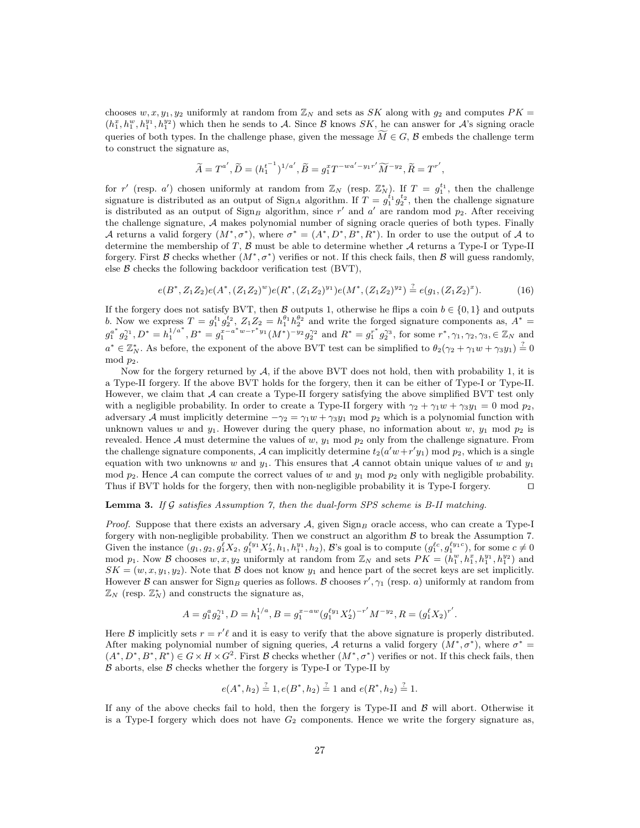chooses  $w, x, y_1, y_2$  uniformly at random from  $\mathbb{Z}_N$  and sets as SK along with  $g_2$  and computes  $PK =$  $(h_1^x, h_1^y, h_1^{y_1}, h_1^{y_2})$  which then he sends to A. Since B knows SK, he can answer for A's signing oracle queries of both types. In the challenge phase, given the message  $\widetilde{M} \in G$ , B embeds the challenge term to construct the signature as,

$$
\widetilde{A} = T^{a'}, \widetilde{D} = (h_1^{t^{-1}})^{1/a'}, \widetilde{B} = g_1^x T^{-wa'-y_1 r'} \widetilde{M}^{-y_2}, \widetilde{R} = T^{r'},
$$

for r' (resp. a') chosen uniformly at random from  $\mathbb{Z}_N$  (resp.  $\mathbb{Z}_N^*$ ). If  $T = g_1^{t_1}$ , then the challenge signature is distributed as an output of  $\text{Sign}_A$  algorithm. If  $T = g_1^{t_1} g_2^{t_2}$ , then the challenge signature is distributed as an output of  $\text{Sign}_B$  algorithm, since r' and a' are random mod  $p_2$ . After receiving the challenge signature, A makes polynomial number of signing oracle queries of both types. Finally A returns a valid forgery  $(M^*, \sigma^*)$ , where  $\sigma^* = (A^*, D^*, B^*, R^*)$ . In order to use the output of A to determine the membership of  $T$ ,  $\beta$  must be able to determine whether  $\mathcal A$  returns a Type-I or Type-II forgery. First B checks whether  $(M^*, \sigma^*)$  verifies or not. If this check fails, then B will guess randomly, else  $\beta$  checks the following backdoor verification test (BVT),

$$
e(B^*, Z_1 Z_2)e(A^*, (Z_1 Z_2)^w)e(R^*, (Z_1 Z_2)^{y_1})e(M^*, (Z_1 Z_2)^{y_2}) \stackrel{?}{=} e(g_1, (Z_1 Z_2)^x).
$$
 (16)

If the forgery does not satisfy BVT, then B outputs 1, otherwise he flips a coin  $b \in \{0, 1\}$  and outputs b. Now we express  $T = g_1^{t_1} g_2^{t_2}$ ,  $Z_1 Z_2 = h_1^{\theta_1} h_2^{\theta_2}$  and write the forged signature components as,  $A^* =$  $g_1^{a^*}g_2^{\gamma_1}, D^* = h_1^{1/a^*}, B^* = g_1^{x-a^*w-r^*y_1}(M^*)^{-y_2}g_2^{\gamma_2}$  and  $R^* = g_1^{r^*}g_2^{\gamma_3}$ , for some  $r^*, \gamma_1, \gamma_2, \gamma_3 \in \mathbb{Z}_N$  and  $a^* \in \mathbb{Z}_N^*$ . As before, the exponent of the above BVT test can be simplified to  $\theta_2(\gamma_2 + \gamma_1 w + \gamma_3 y_1) \stackrel{?}{=} 0$ mod  $p_2$ .

Now for the forgery returned by  $A$ , if the above BVT does not hold, then with probability 1, it is a Type-II forgery. If the above BVT holds for the forgery, then it can be either of Type-I or Type-II. However, we claim that  $\mathcal A$  can create a Type-II forgery satisfying the above simplified BVT test only with a negligible probability. In order to create a Type-II forgery with  $\gamma_2 + \gamma_1 w + \gamma_3 y_1 = 0 \text{ mod } p_2$ , adversary A must implicitly determine  $-\gamma_2 = \gamma_1 w + \gamma_3 y_1 \text{ mod } p_2$  which is a polynomial function with unknown values w and  $y_1$ . However during the query phase, no information about w,  $y_1$  mod  $p_2$  is revealed. Hence A must determine the values of w,  $y_1$  mod  $p_2$  only from the challenge signature. From the challenge signature components, A can implicitly determine  $t_2(a'w+r'y_1)$  mod  $p_2$ , which is a single equation with two unknowns w and  $y_1$ . This ensures that A cannot obtain unique values of w and  $y_1$ mod  $p_2$ . Hence A can compute the correct values of w and  $y_1$  mod  $p_2$  only with negligible probability. Thus if BVT holds for the forgery, then with non-negligible probability it is Type-I forgery.  $\square$ 

### **Lemma 3.** If G satisfies Assumption 7, then the dual-form SPS scheme is B-II matching.

*Proof.* Suppose that there exists an adversary A, given  $\text{Sign}_B$  oracle access, who can create a Type-I forgery with non-negligible probability. Then we construct an algorithm  $\beta$  to break the Assumption 7. Given the instance  $(g_1, g_2, g_1^{\ell} X_2, g_1^{\ell y_1} X_2', h_1, h_1^{y_1}, h_2)$ , B's goal is to compute  $(g_1^{\ell c}, g_1^{\ell y_1 c})$ , for some  $c \neq 0$ mod  $p_1$ . Now B chooses  $w, x, y_2$  uniformly at random from  $\mathbb{Z}_N$  and sets  $PK = (h_1^w, h_1^x, h_1^{y_1}, h_1^{y_2})$  and  $SK = (w, x, y_1, y_2)$ . Note that B does not know  $y_1$  and hence part of the secret keys are set implicitly. However  $\mathcal B$  can answer for Sign<sub>B</sub> queries as follows.  $\mathcal B$  chooses  $r', \gamma_1$  (resp. a) uniformly at random from  $\mathbb{Z}_N$  (resp.  $\mathbb{Z}_N^*$ ) and constructs the signature as,

$$
A = g_1^a g_2^{\gamma_1}, D = h_1^{1/a}, B = g_1^{x - aw} (g_1^{\ell y_1} X_2')^{-r'} M^{-y_2}, R = (g_1^{\ell} X_2)^{r'}.
$$

Here B implicitly sets  $r = r'\ell$  and it is easy to verify that the above signature is properly distributed. After making polynomial number of signing queries, A returns a valid forgery  $(M^*, \sigma^*)$ , where  $\sigma^* =$  $(A^*, D^*, B^*, R^*) \in G \times H \times G^2$ . First B checks whether  $(M^*, \sigma^*)$  verifies or not. If this check fails, then  $\beta$  aborts, else  $\beta$  checks whether the forgery is Type-I or Type-II by

$$
e(A^*, h_2) \stackrel{?}{=} 1, e(B^*, h_2) \stackrel{?}{=} 1
$$
 and  $e(B^*, h_2) \stackrel{?}{=} 1$ .

If any of the above checks fail to hold, then the forgery is Type-II and  $\beta$  will abort. Otherwise it is a Type-I forgery which does not have  $G_2$  components. Hence we write the forgery signature as,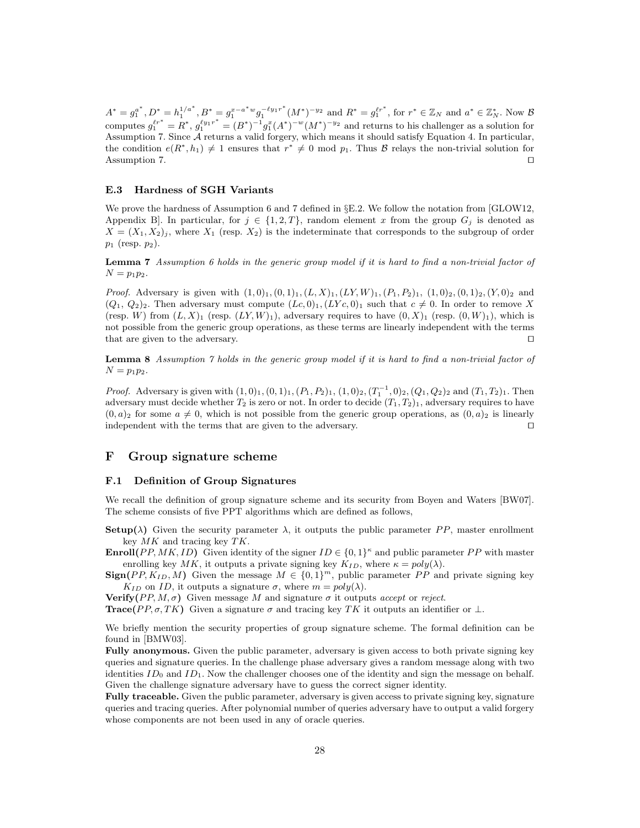$A^* = g_1^{a^*}, D^* = h_1^{1/a^*}, B^* = g_1^{x-a^*w} g_1^{-\ell y_1 r^*}$  $\int_1^{-\ell y_1 r^*} (M^*)^{-y_2}$  and  $R^* = g_1^{\ell r^*}$ , for  $r^* \in \mathbb{Z}_N$  and  $a^* \in \mathbb{Z}_N^*$ . Now  $\mathcal{B}$ computes  $g_1^{e^{r^*}} = R^*, g_1^{e^{t_{y_1}r^*}} = (B^*)^{-1}g_1^x(A^*)^{-w}(M^*)^{-y_2}$  and returns to his challenger as a solution for Assumption 7. Since A returns a valid forgery, which means it should satisfy Equation 4. In particular, the condition  $e(R^*, h_1) \neq 1$  ensures that  $r^* \neq 0$  mod  $p_1$ . Thus  $\beta$  relays the non-trivial solution for Assumption 7.  $\Box$ 

### E.3 Hardness of SGH Variants

We prove the hardness of Assumption 6 and 7 defined in §E.2. We follow the notation from [GLOW12, Appendix B. In particular, for  $j \in \{1,2,T\}$ , random element x from the group  $G_j$  is denoted as  $X = (X_1, X_2)$ , where  $X_1$  (resp.  $X_2$ ) is the indeterminate that corresponds to the subgroup of order  $p_1$  (resp.  $p_2$ ).

Lemma 7 Assumption 6 holds in the generic group model if it is hard to find a non-trivial factor of  $N = p_1 p_2$ .

*Proof.* Adversary is given with  $(1, 0)$ <sub>1</sub>, $(0, 1)$ <sub>1</sub>, $(L, X)$ <sub>1</sub>, $(LY, W)$ <sub>1</sub>, $(P_1, P_2)$ <sub>1</sub>, $(1, 0)$ <sub>2</sub>, $(0, 1)$ <sub>2</sub>, $(Y, 0)$ <sub>2</sub> and  $(Q_1, Q_2)_2$ . Then adversary must compute  $(Lc, 0)_1, (LVc, 0)_1$  such that  $c \neq 0$ . In order to remove X (resp. W) from  $(L, X)$ <sub>1</sub> (resp.  $(LY, W)$ <sub>1</sub>), adversary requires to have  $(0, X)$ <sub>1</sub> (resp.  $(0, W)$ <sub>1</sub>), which is not possible from the generic group operations, as these terms are linearly independent with the terms that are given to the adversary.  $\Box$ 

Lemma 8 Assumption 7 holds in the generic group model if it is hard to find a non-trivial factor of  $N = p_1 p_2$ .

*Proof.* Adversary is given with  $(1,0)_1$ ,  $(0,1)_1$ ,  $(P_1, P_2)_1$ ,  $(1,0)_2$ ,  $(T_1^{-1},0)_2$ ,  $(Q_1, Q_2)_2$  and  $(T_1, T_2)_1$ . Then adversary must decide whether  $T_2$  is zero or not. In order to decide  $(T_1, T_2)$ , adversary requires to have  $(0, a)_2$  for some  $a \neq 0$ , which is not possible from the generic group operations, as  $(0, a)_2$  is linearly independent with the terms that are given to the adversary.  $\Box$ 

## F Group signature scheme

### F.1 Definition of Group Signatures

We recall the definition of group signature scheme and its security from Boyen and Waters [BW07]. The scheme consists of five PPT algorithms which are defined as follows,

- Setup( $\lambda$ ) Given the security parameter  $\lambda$ , it outputs the public parameter PP, master enrollment key  $MK$  and tracing key  $TK$ .
- **Enroll**(PP, MK, ID) Given identity of the signer  $ID \in \{0,1\}^{\kappa}$  and public parameter PP with master enrolling key MK, it outputs a private signing key  $K_{ID}$ , where  $\kappa = poly(\lambda)$ .
- $\text{Sign}(PP, K_{ID}, M)$  Given the message  $M \in \{0, 1\}^m$ , public parameter PP and private signing key  $K_{ID}$  on ID, it outputs a signature  $\sigma$ , where  $m = poly(\lambda)$ .

**Verify**( $PP, M, \sigma$ ) Given message M and signature  $\sigma$  it outputs accept or reject.

**Trace**(PP,  $\sigma$ , TK) Given a signature  $\sigma$  and tracing key TK it outputs an identifier or  $\perp$ .

We briefly mention the security properties of group signature scheme. The formal definition can be found in [BMW03].

Fully anonymous. Given the public parameter, adversary is given access to both private signing key queries and signature queries. In the challenge phase adversary gives a random message along with two identities  $ID_0$  and  $ID_1$ . Now the challenger chooses one of the identity and sign the message on behalf. Given the challenge signature adversary have to guess the correct signer identity.

Fully traceable. Given the public parameter, adversary is given access to private signing key, signature queries and tracing queries. After polynomial number of queries adversary have to output a valid forgery whose components are not been used in any of oracle queries.